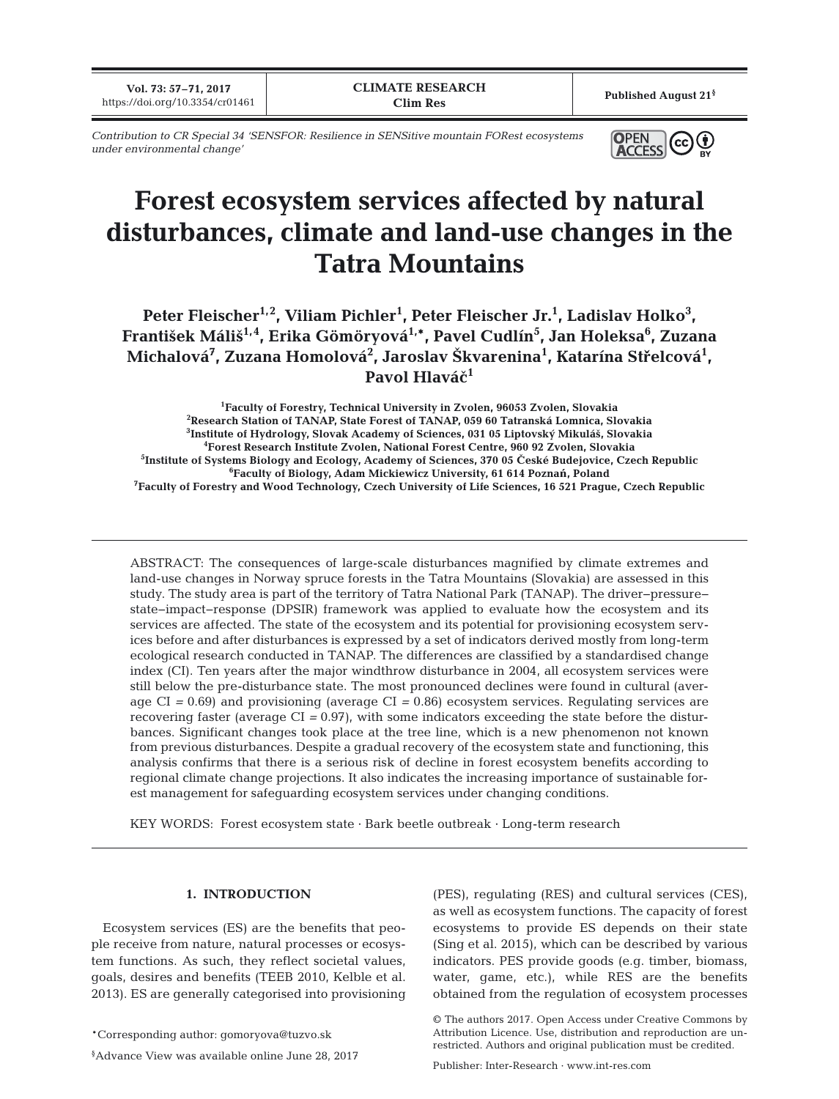**Vol. 73: 57–71, 2017 https://doi.org/10.3354/cr01461 Published August 21§**<br>**Published August 21§**<br>**Clim Res Published August 21**§

*Contribution to CR Special 34 'SENSFOR: Resilience in SENSitive mountain FORest ecosystems under environmental change'*



# **Forest ecosystem services affected by natural disturbances, climate and land-use changes in the Tatra Mountains**

Peter Fleischer<sup>1,2</sup>, Viliam Pichler<sup>1</sup>, Peter Fleischer Jr.<sup>1</sup>, Ladislav Holko<sup>3</sup>, **František Máliš1,4, Erika Gömöryová1,\*, Pavel Cudlín5 , Jan Holeksa6 , Zuzana Michalová7 , Zuzana Homolová2 , Jaroslav Škvarenina1 , Katarína Střelcová1 , Pavol Hlavá<<sup>1</sup>**

 **Faculty of Forestry, Technical University in Zvolen, 96053 Zvolen, Slovakia Research Station of TANAP, State Forest of TANAP, 059 60 Tatranská Lomnica, Slovakia Institute of Hydrology, Slovak Academy of Sciences, 031 05 Liptovský Mikuláš, Slovakia Forest Research Institute Zvolen, National Forest Centre, 960 92 Zvolen, Slovakia Institute of Systems Biology and Ecology, Academy of Sciences, 370 05 >eské Budejovice, Czech Republic Faculty of Biology, Adam Mickiewicz University, 61 614 Poznań, Poland Faculty of Forestry and Wood Technology, Czech University of Life Sciences, 16 521 Prague, Czech Republic**

ABSTRACT: The consequences of large-scale disturbances magnified by climate extremes and land-use changes in Norway spruce forests in the Tatra Mountains (Slovakia) are assessed in this study. The study area is part of the territory of Tatra National Park (TANAP). The driver−pressure− state−impact−response (DPSIR) framework was applied to evaluate how the ecosystem and its services are affected. The state of the ecosystem and its potential for provisioning ecosystem services before and after disturbances is expressed by a set of indicators derived mostly from long-term ecological research conducted in TANAP. The differences are classified by a standardised change index (CI). Ten years after the major windthrow disturbance in 2004, all ecosystem services were still below the pre-disturbance state. The most pronounced declines were found in cultural (average CI *=* 0.69) and provisioning (average CI *=* 0.86) ecosystem services. Regulating services are recovering faster (average CI *=* 0.97), with some indicators exceeding the state before the disturbances. Significant changes took place at the tree line, which is a new phenomenon not known from previous disturbances. Despite a gradual recovery of the ecosystem state and functioning, this analysis confirms that there is a serious risk of decline in forest ecosystem benefits according to regional climate change projections. It also indicates the increasing importance of sustainable forest management for safeguarding ecosystem services under changing conditions.

KEY WORDS: Forest ecosystem state · Bark beetle outbreak · Long-term research

### **1. INTRODUCTION**

Ecosystem services (ES) are the benefits that people receive from nature, natural processes or ecosystem functions. As such, they reflect societal values, goals, desires and benefits (TEEB 2010, Kelble et al. 2013). ES are generally categorised into provisioning (PES), regulating (RES) and cultural services (CES), as well as ecosystem functions. The capacity of forest ecosystems to provide ES depends on their state (Sing et al. 2015), which can be described by various indicators. PES provide goods (e.g. timber, biomass, water, game, etc.), while RES are the benefits obtained from the regulation of ecosystem processes

Publisher: Inter-Research · www.int-res.com

<sup>\*</sup>Corresponding author: gomoryova@tuzvo.sk

<sup>§</sup> Advance View was available online June 28, 2017

<sup>©</sup> The authors 2017. Open Access under Creative Commons by Attribution Licence. Use, distribution and reproduction are unrestricted. Authors and original publication must be credited.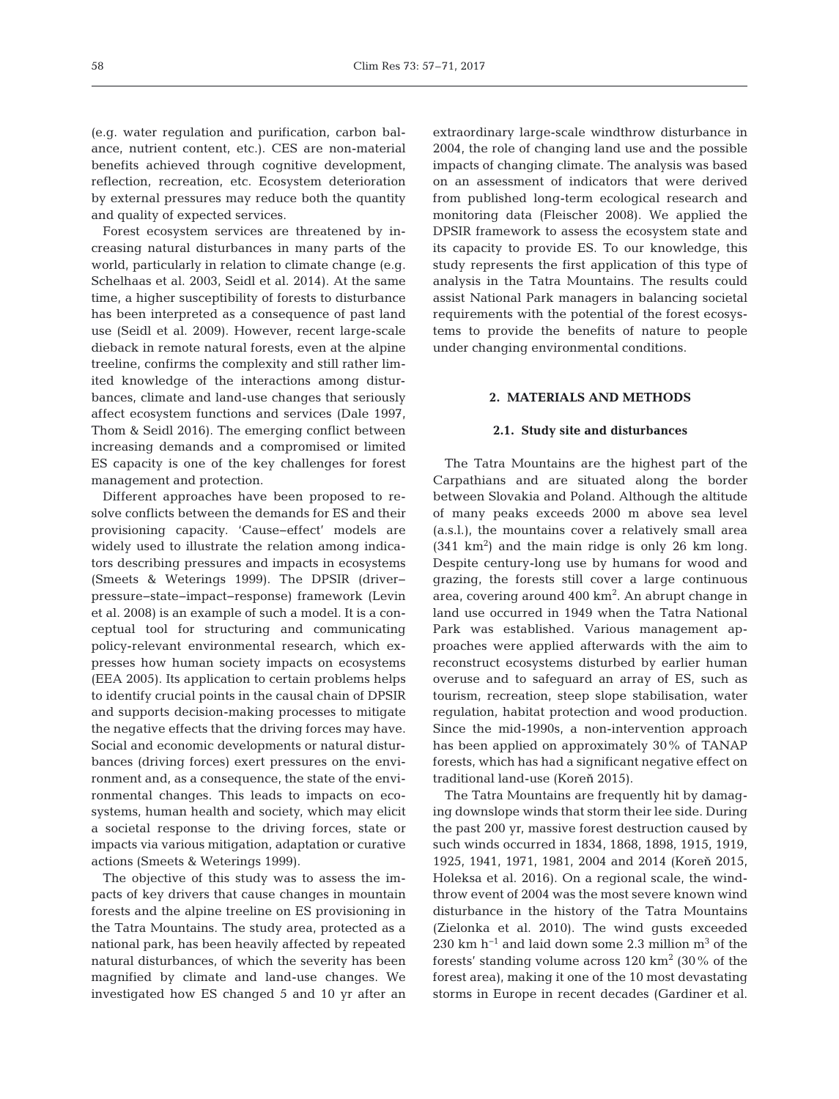(e.g. water regulation and purification, carbon balance, nutrient content, etc.). CES are non-material benefits achieved through cognitive development, reflection, recreation, etc. Ecosystem deterioration by external pressures may reduce both the quantity and quality of expected services.

Forest ecosystem services are threatened by increasing natural disturbances in many parts of the world, particularly in relation to climate change (e.g. Schelhaas et al. 2003, Seidl et al. 2014). At the same time, a higher susceptibility of forests to disturbance has been interpreted as a consequence of past land use (Seidl et al. 2009). However, recent large-scale dieback in remote natural forests, even at the alpine treeline, confirms the complexity and still rather limited knowledge of the interactions among disturbances, climate and land-use changes that seriously affect ecosystem functions and services (Dale 1997, Thom & Seidl 2016). The emerging conflict between increasing demands and a compromised or limited ES capacity is one of the key challenges for forest management and protection.

Different approaches have been proposed to resolve conflicts between the demands for ES and their provisioning capacity. 'Cause−effect' models are widely used to illustrate the relation among indicators describing pressures and impacts in ecosystems (Smeets & Weterings 1999). The DPSIR (driver− pressure−state−impact−response) framework (Levin et al. 2008) is an example of such a model. It is a conceptual tool for structuring and communicating policy-relevant environmental research, which expresses how human society impacts on ecosystems (EEA 2005). Its application to certain problems helps to identify crucial points in the causal chain of DPSIR and supports decision-making processes to mitigate the negative effects that the driving forces may have. Social and economic developments or natural disturbances (driving forces) exert pressures on the environment and, as a consequence, the state of the environmental changes. This leads to impacts on ecosystems, human health and society, which may elicit a societal response to the driving forces, state or impacts via various mitigation, adaptation or curative actions (Smeets & Weterings 1999).

The objective of this study was to assess the impacts of key drivers that cause changes in mountain forests and the alpine treeline on ES provisioning in the Tatra Mountains. The study area, protected as a national park, has been heavily affected by repeated natural disturbances, of which the severity has been magnified by climate and land-use changes. We investigated how ES changed 5 and 10 yr after an

extraordinary large-scale windthrow disturbance in 2004, the role of changing land use and the possible impacts of changing climate. The analysis was based on an assessment of indicators that were derived from published long-term ecological research and monitoring data (Fleischer 2008). We applied the DPSIR framework to assess the ecosystem state and its capacity to provide ES. To our knowledge, this study represents the first application of this type of analysis in the Tatra Mountains. The results could assist National Park managers in balancing societal requirements with the potential of the forest ecosystems to provide the benefits of nature to people under changing environmental conditions.

#### **2. MATERIALS AND METHODS**

#### **2.1. Study site and disturbances**

The Tatra Mountains are the highest part of the Carpathians and are situated along the border between Slovakia and Poland. Although the altitude of many peaks exceeds 2000 m above sea level (a.s.l.), the mountains cover a relatively small area  $(341 \text{ km}^2)$  and the main ridge is only 26 km long. Despite century-long use by humans for wood and grazing, the forests still cover a large continuous area, covering around 400 km<sup>2</sup>. An abrupt change in land use occurred in 1949 when the Tatra National Park was established. Various management approaches were applied afterwards with the aim to reconstruct ecosystems disturbed by earlier human overuse and to safeguard an array of ES, such as tourism, recreation, steep slope stabilisation, water regulation, habitat protection and wood production. Since the mid-1990s, a non-intervention approach has been applied on approximately 30% of TANAP forests, which has had a significant negative effect on traditional land-use (Koreň 2015).

The Tatra Mountains are frequently hit by damaging downslope winds that storm their lee side. During the past 200 yr, massive forest destruction caused by such winds occurred in 1834, 1868, 1898, 1915, 1919, 1925, 1941, 1971, 1981, 2004 and 2014 (Koreň 2015, Holeksa et al. 2016). On a regional scale, the windthrow event of 2004 was the most severe known wind disturbance in the history of the Tatra Mountains (Zielonka et al. 2010). The wind gusts exceeded 230 km h<sup>-1</sup> and laid down some 2.3 million m<sup>3</sup> of the forests' standing volume across  $120 \text{ km}^2$  (30% of the forest area), making it one of the 10 most devastating storms in Europe in recent decades (Gardiner et al.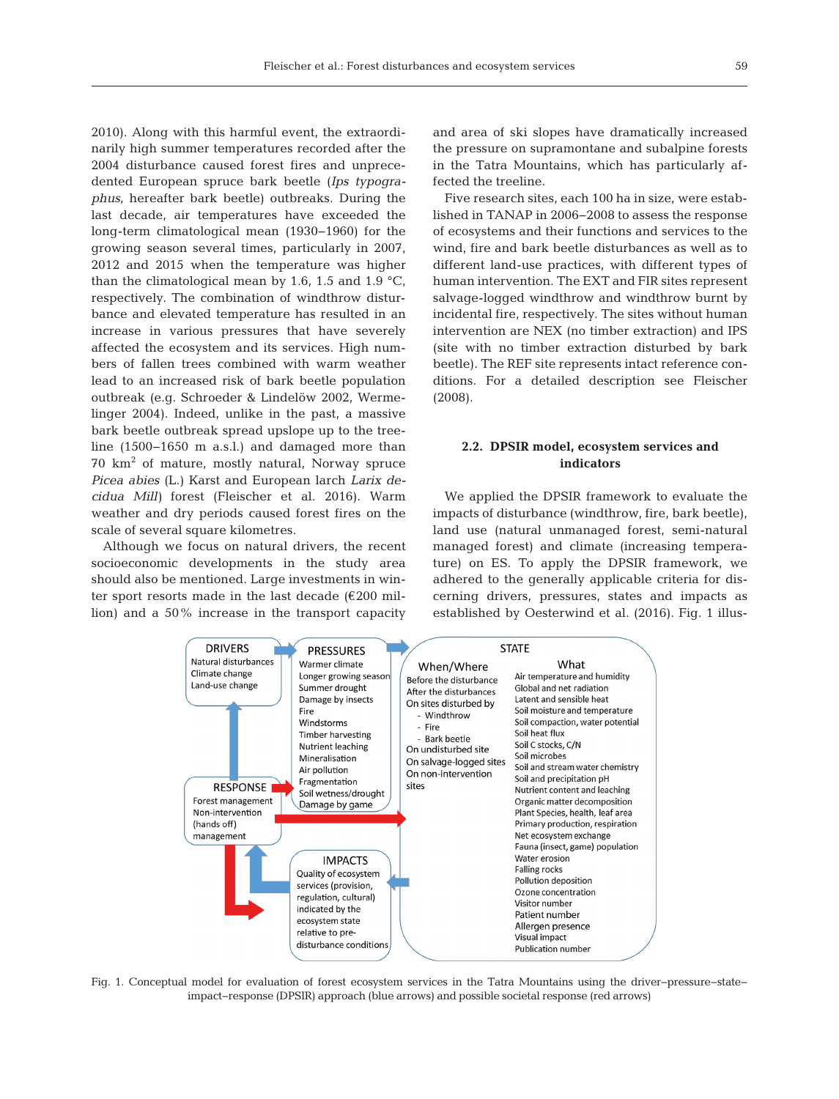2010). Along with this harmful event, the extraordinarily high summer temperatures recorded after the 2004 disturbance caused forest fires and unprecedented European spruce bark beetle (*Ips typographus*, hereafter bark beetle) outbreaks. During the last decade, air temperatures have exceeded the long-term climatological mean (1930− 1960) for the growing season several times, particularly in 2007, 2012 and 2015 when the temperature was higher than the climatological mean by 1.6, 1.5 and 1.9  $^{\circ}$ C, respectively. The combination of windthrow disturbance and elevated temperature has resulted in an increase in various pressures that have severely affected the ecosystem and its services. High numbers of fallen trees combined with warm weather lead to an increased risk of bark beetle population outbreak (e.g. Schroeder & Lindelöw 2002, Werme linger 2004). Indeed, unlike in the past, a massive bark beetle outbreak spread upslope up to the treeline (1500−1650 m a.s.l.) and damaged more than 70 km<sup>2</sup> of mature, mostly natural, Norway spruce *Picea abies* (L.) Karst and European larch *Larix de cidua Mill)* forest (Fleischer et al. 2016). Warm weather and dry periods caused forest fires on the scale of several square kilometres.

Although we focus on natural drivers, the recent socioeconomic developments in the study area should also be mentioned. Large investments in winter sport resorts made in the last decade (€200 million) and a 50% increase in the transport capacity

and area of ski slopes have dramatically increased the pressure on supramontane and subalpine forests in the Tatra Mountains, which has particularly affected the treeline.

Five research sites, each 100 ha in size, were established in TANAP in 2006−2008 to assess the response of ecosystems and their functions and services to the wind, fire and bark beetle disturbances as well as to different land-use practices, with different types of human intervention. The EXT and FIR sites represent salvage-logged windthrow and windthrow burnt by incidental fire, respectively. The sites without human intervention are NEX (no timber extraction) and IPS (site with no timber extraction disturbed by bark beetle). The REF site represents intact reference conditions. For a detailed description see Fleischer (2008).

# **2.2. DPSIR model, ecosystem services and indicators**

We applied the DPSIR framework to evaluate the impacts of disturbance (windthrow, fire, bark beetle), land use (natural unmanaged forest, semi-natural managed forest) and climate (increasing tempera ture) on ES. To apply the DPSIR framework, we adhered to the generally applicable criteria for discerning drivers, pressures, states and impacts as established by Oesterwind et al. (2016). Fig. 1 illus-



Fig. 1. Conceptual model for evaluation of forest ecosystem services in the Tatra Mountains using the driver−pressure− state− impact−response (DPSIR) approach (blue arrows) and possible societal response (red arrows)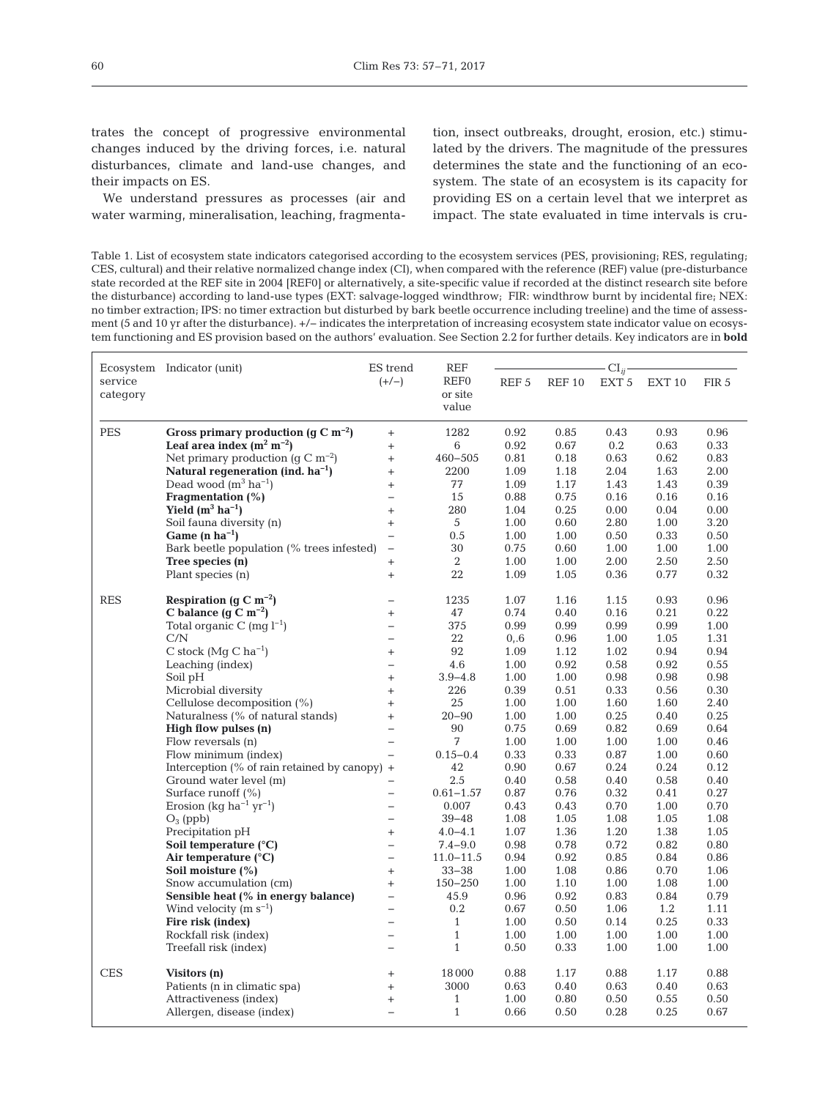trates the concept of progressive environmental changes induced by the driving forces, i.e. natural disturbances, climate and land-use changes, and their impacts on ES.

We understand pressures as processes (air and water warming, mineralisation, leaching, fragmenta-

tion, insect outbreaks, drought, erosion, etc.) stimulated by the drivers. The magnitude of the pressures determines the state and the functioning of an ecosystem. The state of an ecosystem is its capacity for providing ES on a certain level that we interpret as impact. The state evaluated in time intervals is cru-

Table 1. List of ecosystem state indicators categorised according to the ecosystem services (PES, provisioning; RES, regulating; CES, cultural) and their relative normalized change index (CI), when compared with the reference (REF) value (pre-disturbance state recorded at the REF site in 2004 [REF0] or alternatively, a site-specific value if recorded at the distinct research site before the disturbance) according to land-use types (EXT: salvage-logged windthrow; FIR: windthrow burnt by incidental fire; NEX: no timber extraction; IPS: no timer extraction but disturbed by bark beetle occurrence including treeline) and the time of assessment (5 and 10 yr after the disturbance). +/− indicates the interpretation of increasing ecosystem state indicator value on ecosystem functioning and ES provision based on the authors' evaluation. See Section 2.2 for further details. Key indicators are in **bold**

| service    | Ecosystem Indicator (unit)                                    | ES trend<br>$(+/-)$                           | REF<br>REF <sub>0</sub>  | REF <sub>5</sub> | REF <sub>10</sub> | $CI_{ij}$<br>EXT <sub>5</sub> | EXT <sub>10</sub> | FIR <sub>5</sub> |
|------------|---------------------------------------------------------------|-----------------------------------------------|--------------------------|------------------|-------------------|-------------------------------|-------------------|------------------|
| category   |                                                               |                                               | or site<br>value         |                  |                   |                               |                   |                  |
| PES        | Gross primary production (q C m <sup>-2</sup> )               | $^{+}$                                        | 1282                     | 0.92             | 0.85              | 0.43                          | 0.93              | 0.96             |
|            | Leaf area index $(m^2 m^{-2})$                                | $+$                                           | 6                        | 0.92             | 0.67              | 0.2                           | 0.63              | 0.33             |
|            | Net primary production ( $q \text{ C m}^{-2}$ )               | $\ddot{}$                                     | $460 - 505$              | 0.81             | 0.18              | 0.63                          | 0.62              | 0.83             |
|            | Natural regeneration (ind. $ha^{-1}$ )                        | $^{+}$                                        | 2200                     | 1.09             | 1.18              | 2.04                          | 1.63              | 2.00             |
|            | Dead wood $(m^3 \text{ ha}^{-1})$                             | $+$                                           | 77                       | 1.09             | 1.17              | 1.43                          | 1.43              | 0.39             |
|            | Fragmentation (%)                                             | $\overline{a}$                                | 15                       | 0.88             | 0.75              | 0.16                          | 0.16              | 0.16             |
|            | Yield $(m^3 \text{ ha}^{-1})$                                 | $\ddot{}$                                     | 280                      | 1.04             | 0.25              | 0.00                          | 0.04              | 0.00             |
|            | Soil fauna diversity (n)                                      | $\ddot{}$                                     | 5                        | 1.00             | 0.60              | 2.80                          | 1.00              | 3.20             |
|            | Game $(n \, ha^{-1})$                                         | $\overline{\phantom{0}}$                      | 0.5                      | 1.00             | 1.00              | 0.50                          | 0.33              | 0.50             |
|            | Bark beetle population (% trees infested)                     | $\qquad \qquad -$                             | 30                       | 0.75             | 0.60              | 1.00                          | 1.00              | 1.00             |
|            | Tree species (n)                                              | $^{+}$                                        | 2                        | 1.00             | 1.00              | 2.00                          | 2.50              | 2.50             |
|            | Plant species (n)                                             | $^{+}$                                        | 22                       | 1.09             | 1.05              | 0.36                          | 0.77              | 0.32             |
| <b>RES</b> | Respiration (g C m <sup>-2</sup> )                            | $\overline{\phantom{0}}$                      | 1235                     | 1.07             | 1.16              | 1.15                          | 0.93              | 0.96             |
|            | C balance $(g C m^{-2})$                                      | $+$                                           | 47                       | 0.74             | 0.40              | 0.16                          | 0.21              | 0.22             |
|            | Total organic C (mg $l^{-1}$ )                                | $\overline{\phantom{0}}$                      | 375                      | 0.99             | 0.99              | 0.99                          | 0.99              | 1.00             |
|            | C/N                                                           | $\overline{\phantom{0}}$                      | 22                       | 0, 6             | 0.96              | 1.00                          | 1.05              | 1.31             |
|            | C stock ( $MqC$ ha <sup>-1</sup> )                            | $\! +$                                        | 92                       | 1.09             | 1.12              | 1.02                          | 0.94              | 0.94             |
|            | Leaching (index)                                              | $\overline{\phantom{0}}$                      | 4.6                      | 1.00             | 0.92              | 0.58                          | 0.92              | 0.55             |
|            | Soil pH                                                       | $\! + \!\!\!\!$                               | $3.9 - 4.8$              | 1.00             | 1.00              | 0.98                          | 0.98              | 0.98             |
|            | Microbial diversity                                           | $+$                                           | 226                      | 0.39             | 0.51              | 0.33                          | 0.56              | 0.30             |
|            | Cellulose decomposition (%)                                   | $\ddot{}$                                     | 25                       | 1.00             | 1.00              | 1.60                          | 1.60              | 2.40             |
|            | Naturalness (% of natural stands)                             | $\ddot{}$                                     | $20 - 90$                | 1.00             | 1.00              | 0.25                          | 0.40              | 0.25             |
|            | High flow pulses (n)                                          | $\overline{\phantom{0}}$                      | 90                       | 0.75             | 0.69              | 0.82                          | 0.69              | 0.64             |
|            | Flow reversals (n)                                            | $\overline{\phantom{0}}$                      | 7                        | 1.00             | 1.00              | 1.00                          | 1.00              | 0.46             |
|            | Flow minimum (index)                                          | $\overline{\phantom{0}}$                      | $0.15 - 0.4$             | 0.33             | 0.33              | 0.87                          | 1.00              | 0.60             |
|            | Interception $(\%$ of rain retained by canopy) +              |                                               | 42                       | 0.90             | 0.67              | 0.24                          | 0.24              | 0.12             |
|            | Ground water level (m)                                        |                                               | 2.5                      | 0.40             | 0.58              | 0.40                          | 0.58              | 0.40             |
|            | Surface runoff $(\% )$                                        |                                               | $0.61 - 1.57$            | 0.87             | 0.76              | 0.32                          | 0.41              | 0.27             |
|            | Erosion (kq ha <sup>-1</sup> yr <sup>-1</sup> )               | $\overline{\phantom{0}}$                      | 0.007                    | 0.43             | 0.43              | 0.70                          | 1.00              | 0.70             |
|            | $O_3$ (ppb)                                                   | $\overline{a}$                                | $39 - 48$                | 1.08             | 1.05              | 1.08                          | 1.05              | 1.08             |
|            | Precipitation pH                                              | $^{+}$                                        | $4.0 - 4.1$              | 1.07             | 1.36              | 1.20                          | 1.38              | 1.05             |
|            | Soil temperature $(^{\circ}C)$                                | $\overline{\phantom{0}}$<br>$\equiv$          | $7.4 - 9.0$              | 0.98             | 0.78              | 0.72                          | 0.82              | 0.80             |
|            | Air temperature $(^{\circ}C)$                                 |                                               | $11.0 - 11.5$            | 0.94             | 0.92              | 0.85                          | 0.84              | 0.86             |
|            | Soil moisture (%)                                             | $\! + \!\!\!\!$                               | $33 - 38$<br>$150 - 250$ | 1.00<br>1.00     | 1.08<br>1.10      | 0.86<br>1.00                  | 0.70              | 1.06<br>1.00     |
|            | Snow accumulation (cm)<br>Sensible heat (% in energy balance) | $\ddot{}$                                     | 45.9                     | 0.96             | 0.92              | 0.83                          | 1.08<br>0.84      | 0.79             |
|            | Wind velocity $(m s^{-1})$                                    | $\qquad \qquad -$<br>$\overline{\phantom{0}}$ | 0.2                      | 0.67             | 0.50              | 1.06                          | 1.2               | 1.11             |
|            | Fire risk (index)                                             | $\qquad \qquad -$                             | $\mathbf{1}$             | 1.00             | 0.50              | 0.14                          | 0.25              | 0.33             |
|            | Rockfall risk (index)                                         | $\overline{\phantom{0}}$                      | $\mathbf{1}$             | 1.00             | 1.00              | 1.00                          | 1.00              | 1.00             |
|            | Treefall risk (index)                                         | $\overline{\phantom{0}}$                      | $\mathbf{1}$             | 0.50             | 0.33              | 1.00                          | 1.00              | 1.00             |
|            |                                                               |                                               |                          |                  |                   |                               |                   |                  |
| <b>CES</b> | Visitors (n)                                                  | $^{+}$                                        | 18000                    | 0.88             | 1.17              | 0.88                          | 1.17              | 0.88             |
|            | Patients (n in climatic spa)                                  | $\ddot{}$                                     | 3000                     | 0.63             | 0.40              | 0.63                          | 0.40              | 0.63             |
|            | Attractiveness (index)                                        | $\ddot{}$                                     | $\mathbf{1}$             | 1.00             | 0.80              | 0.50                          | 0.55              | 0.50             |
|            | Allergen, disease (index)                                     | $\overline{\phantom{0}}$                      | $\mathbf{1}$             | 0.66             | 0.50              | 0.28                          | 0.25              | 0.67             |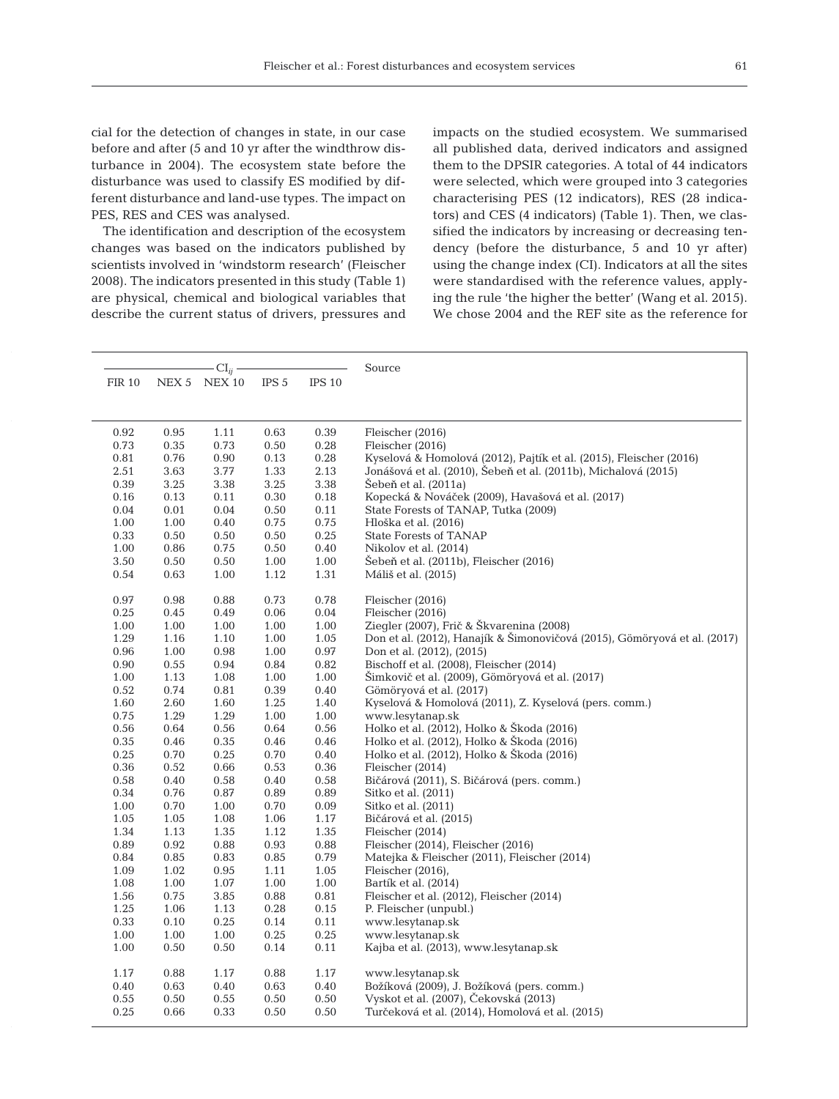cial for the detection of changes in state, in our case before and after (5 and 10 yr after the windthrow disturbance in 2004). The ecosystem state before the disturbance was used to classify ES modified by different disturbance and land-use types. The impact on PES, RES and CES was analysed.

The identification and description of the ecosystem changes was based on the indicators published by scientists involved in 'windstorm research' (Fleischer 2008). The indicators presented in this study (Table 1) are physical, chemical and biological variables that describe the current status of drivers, pressures and impacts on the studied ecosystem. We summarised all published data, derived indicators and assigned them to the DPSIR categories. A total of 44 indicators were selected, which were grouped into 3 categories characterising PES (12 indicators), RES (28 indicators) and CES (4 indicators) (Table 1). Then, we classified the indicators by increasing or decreasing tendency (before the disturbance, 5 and 10 yr after) using the change index (CI). Indicators at all the sites were standardised with the reference values, applying the rule 'the higher the better' (Wang et al. 2015). We chose 2004 and the REF site as the reference for

|        | $CI_{ii}$ |                    |      |                   | Source                                                                    |  |  |  |
|--------|-----------|--------------------|------|-------------------|---------------------------------------------------------------------------|--|--|--|
| FIR 10 |           | NEX 5 NEX 10 IPS 5 |      | IPS <sub>10</sub> |                                                                           |  |  |  |
|        |           |                    |      |                   |                                                                           |  |  |  |
|        |           |                    |      |                   |                                                                           |  |  |  |
| 0.92   | 0.95      | 1.11               | 0.63 | 0.39              | Fleischer (2016)                                                          |  |  |  |
| 0.73   | 0.35      | 0.73               | 0.50 | 0.28              | Fleischer (2016)                                                          |  |  |  |
| 0.81   | 0.76      | 0.90               | 0.13 | 0.28              | Kyselová & Homolová (2012), Pajtík et al. (2015), Fleischer (2016)        |  |  |  |
| 2.51   | 3.63      | 3.77               | 1.33 | 2.13              | Jonášová et al. (2010), Šebeň et al. (2011b), Michalová (2015)            |  |  |  |
| 0.39   | 3.25      | 3.38               | 3.25 | 3.38              | Šebeň et al. (2011a)                                                      |  |  |  |
| 0.16   | 0.13      | 0.11               | 0.30 | 0.18              | Kopecká & Nováček (2009), Havašová et al. (2017)                          |  |  |  |
| 0.04   | 0.01      | 0.04               | 0.50 | 0.11              | State Forests of TANAP, Tutka (2009)                                      |  |  |  |
| 1.00   | 1.00      | 0.40               | 0.75 | 0.75              | Hloška et al. (2016)                                                      |  |  |  |
| 0.33   | 0.50      | 0.50               | 0.50 | 0.25              | <b>State Forests of TANAP</b>                                             |  |  |  |
| 1.00   | 0.86      | 0.75               | 0.50 | 0.40              | Nikolov et al. (2014)                                                     |  |  |  |
| 3.50   | 0.50      | 0.50               | 1.00 | 1.00              | Sebeň et al. (2011b), Fleischer (2016)                                    |  |  |  |
| 0.54   | 0.63      | 1.00               | 1.12 | 1.31              | Máliš et al. (2015)                                                       |  |  |  |
| 0.97   | 0.98      | 0.88               | 0.73 | 0.78              | Fleischer (2016)                                                          |  |  |  |
| 0.25   | 0.45      | 0.49               | 0.06 | 0.04              | Fleischer (2016)                                                          |  |  |  |
| 1.00   | 1.00      | 1.00               | 1.00 | 1.00              | Ziegler (2007), Frič & Škvarenina (2008)                                  |  |  |  |
| 1.29   | 1.16      | 1.10               | 1.00 | 1.05              | Don et al. (2012), Hanajík & Šimonovičová (2015), Gömöryová et al. (2017) |  |  |  |
| 0.96   | 1.00      | 0.98               | 1.00 | 0.97              | Don et al. (2012), (2015)                                                 |  |  |  |
| 0.90   | 0.55      | 0.94               | 0.84 | 0.82              | Bischoff et al. (2008), Fleischer (2014)                                  |  |  |  |
| 1.00   | 1.13      | 1.08               | 1.00 | 1.00              | Šimkovič et al. (2009), Gömöryová et al. (2017)                           |  |  |  |
| 0.52   | 0.74      | 0.81               | 0.39 | 0.40              | Gömöryová et al. (2017)                                                   |  |  |  |
| 1.60   | 2.60      | 1.60               | 1.25 | 1.40              | Kyselová & Homolová (2011), Z. Kyselová (pers. comm.)                     |  |  |  |
| 0.75   | 1.29      | 1.29               | 1.00 | 1.00              | www.lesytanap.sk                                                          |  |  |  |
| 0.56   | 0.64      | 0.56               | 0.64 | 0.56              | Holko et al. (2012), Holko & Škoda (2016)                                 |  |  |  |
| 0.35   |           |                    |      |                   | Holko et al. (2012), Holko & Škoda (2016)                                 |  |  |  |
|        | 0.46      | 0.35               | 0.46 | 0.46              |                                                                           |  |  |  |
| 0.25   | 0.70      | 0.25               | 0.70 | 0.40              | Holko et al. (2012), Holko & Škoda (2016)                                 |  |  |  |
| 0.36   | 0.52      | 0.66               | 0.53 | 0.36              | Fleischer (2014)                                                          |  |  |  |
| 0.58   | 0.40      | 0.58               | 0.40 | $0.58\,$          | Bičárová (2011), S. Bičárová (pers. comm.)                                |  |  |  |
| 0.34   | 0.76      | 0.87               | 0.89 | 0.89              | Sitko et al. (2011)                                                       |  |  |  |
| 1.00   | 0.70      | 1.00               | 0.70 | 0.09              | Sitko et al. (2011)                                                       |  |  |  |
| 1.05   | 1.05      | 1.08               | 1.06 | 1.17              | Bičárová et al. (2015)                                                    |  |  |  |
| 1.34   | 1.13      | 1.35               | 1.12 | 1.35              | Fleischer (2014)                                                          |  |  |  |
| 0.89   | 0.92      | 0.88               | 0.93 | 0.88              | Fleischer $(2014)$ , Fleischer $(2016)$                                   |  |  |  |
| 0.84   | 0.85      | 0.83               | 0.85 | 0.79              | Matejka & Fleischer (2011), Fleischer (2014)                              |  |  |  |
| 1.09   | 1.02      | 0.95               | 1.11 | 1.05              | Fleischer (2016),                                                         |  |  |  |
| 1.08   | 1.00      | 1.07               | 1.00 | 1.00              | Bartík et al. (2014)                                                      |  |  |  |
| 1.56   | 0.75      | 3.85               | 0.88 | 0.81              | Fleischer et al. (2012), Fleischer (2014)                                 |  |  |  |
| 1.25   | 1.06      | 1.13               | 0.28 | 0.15              | P. Fleischer (unpubl.)                                                    |  |  |  |
| 0.33   | 0.10      | 0.25               | 0.14 | 0.11              | www.lesytanap.sk                                                          |  |  |  |
| 1.00   | 1.00      | 1.00               | 0.25 | 0.25              | www.lesytanap.sk                                                          |  |  |  |
| 1.00   | 0.50      | 0.50               | 0.14 | 0.11              | Kajba et al. (2013), www.lesytanap.sk                                     |  |  |  |
| 1.17   | 0.88      | 1.17               | 0.88 | 1.17              | www.lesytanap.sk                                                          |  |  |  |
| 0.40   | 0.63      | 0.40               | 0.63 | 0.40              | Božíková (2009), J. Božíková (pers. comm.)                                |  |  |  |
| 0.55   | 0.50      | 0.55               | 0.50 | 0.50              | Vyskot et al. (2007), Čekovská (2013)                                     |  |  |  |
| 0.25   | 0.66      | 0.33               | 0.50 | 0.50              | Turčeková et al. (2014), Homolová et al. (2015)                           |  |  |  |
|        |           |                    |      |                   |                                                                           |  |  |  |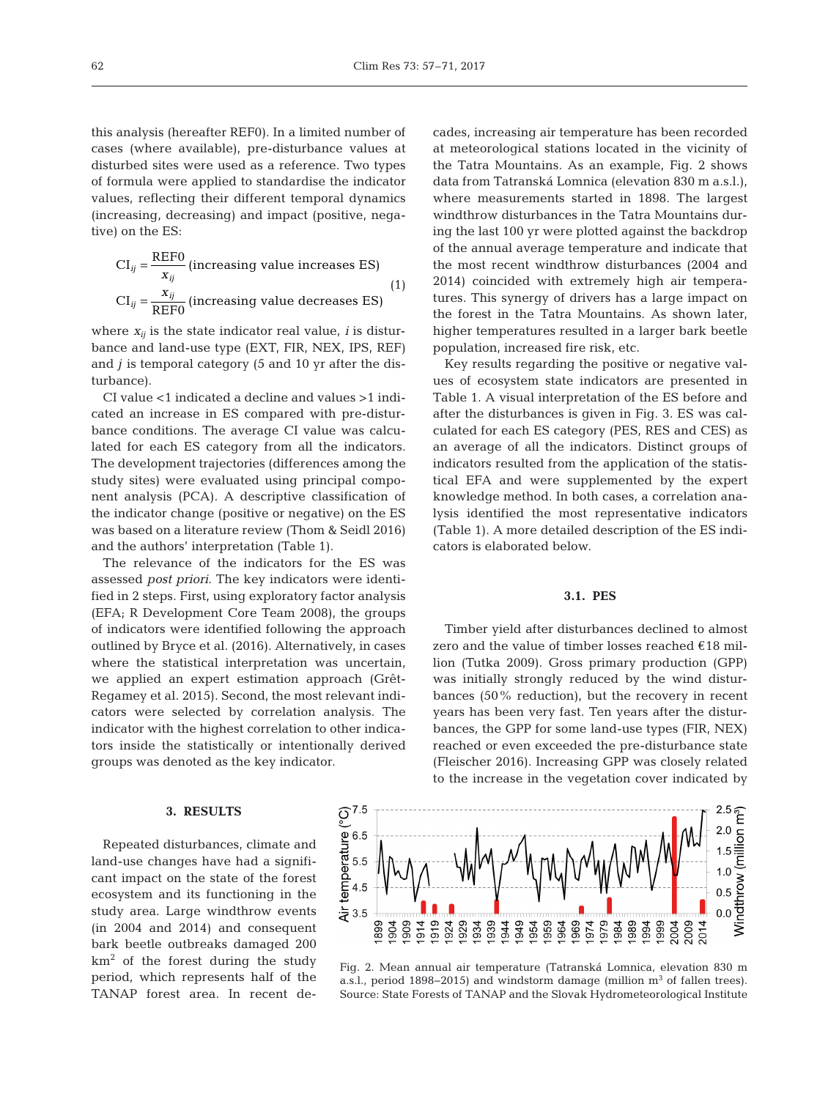this analysis (hereafter REF0). In a limited number of cases (where available), pre-disturbance values at disturbed sites were used as a reference. Two types of formula were applied to standardise the indicator values, reflecting their different temporal dynamics (increasing, decreasing) and impact (positive, negative) on the ES:

$$
CI_{ij} = \frac{REF0}{x_{ij}}
$$
 (increasing value increases ES)  

$$
CI_{ij} = \frac{x_{ij}}{REF0}
$$
 (increasing value decreases ES) (1)

where  $x_{ij}$  is the state indicator real value, *i* is disturbance and land-use type (EXT, FIR, NEX, IPS, REF) and *j* is temporal category (5 and 10 yr after the disturbance).

CI value <1 indicated a decline and values >1 indicated an increase in ES compared with pre-disturbance conditions. The average CI value was calculated for each ES category from all the indicators. The development trajectories (differences among the study sites) were evaluated using principal component analysis (PCA). A descriptive classification of the indicator change (positive or negative) on the ES was based on a literature review (Thom & Seidl 2016) and the authors' interpretation (Table 1).

The relevance of the indicators for the ES was assessed *post priori*. The key indicators were identified in 2 steps. First, using exploratory factor analysis (EFA; R Development Core Team 2008), the groups of indicators were identified following the approach outlined by Bryce et al. (2016). Alternatively, in cases where the statistical interpretation was uncertain, we applied an expert estimation approach (Grêt-Regamey et al. 2015). Second, the most relevant indicators were selected by correlation analysis. The indicator with the highest correlation to other indicators inside the statistically or intentionally derived groups was denoted as the key indicator.

#### **3. RESULTS**

Repeated disturbances, climate and land-use changes have had a significant impact on the state of the forest ecosystem and its functioning in the study area. Large windthrow events (in 2004 and 2014) and consequent bark beetle outbreaks damaged 200  $km<sup>2</sup>$  of the forest during the study period, which represents half of the TANAP forest area. In recent decades, increasing air temperature has been recorded at meteorological stations located in the vicinity of the Tatra Mountains. As an example, Fig. 2 shows data from Tatranská Lomnica (elevation 830 m a.s.l.), where measurements started in 1898. The largest windthrow disturbances in the Tatra Mountains during the last 100 yr were plotted against the backdrop of the annual average temperature and indicate that the most recent windthrow disturbances (2004 and 2014) coincided with extremely high air temperatures. This synergy of drivers has a large impact on the forest in the Tatra Mountains. As shown later, higher temperatures resulted in a larger bark beetle population, increased fire risk, etc.

Key results regarding the positive or negative values of ecosystem state indicators are presented in Table 1. A visual interpretation of the ES before and after the disturbances is given in Fig. 3. ES was calculated for each ES category (PES, RES and CES) as an average of all the indicators. Distinct groups of indicators resulted from the application of the statistical EFA and were supplemented by the expert knowledge method. In both cases, a correlation ana lysis identified the most representative indicators (Table 1). A more detailed description of the ES indicators is elaborated below.

#### **3.1. PES**

Timber yield after disturbances declined to almost zero and the value of timber losses reached €18 million (Tutka 2009). Gross primary production (GPP) was initially strongly reduced by the wind disturbances (50% reduction), but the recovery in recent years has been very fast. Ten years after the disturbances, the GPP for some land-use types (FIR, NEX) reached or even exceeded the pre-disturbance state (Fleischer 2016). Increasing GPP was closely related to the increase in the vegetation cover indicated by



Fig. 2. Mean annual air temperature (Tatranská Lomnica, elevation 830 m a.s.l., period 1898–2015) and windstorm damage (million m<sup>3</sup> of fallen trees). Source: State Forests of TANAP and the Slovak Hydrometeorological Institute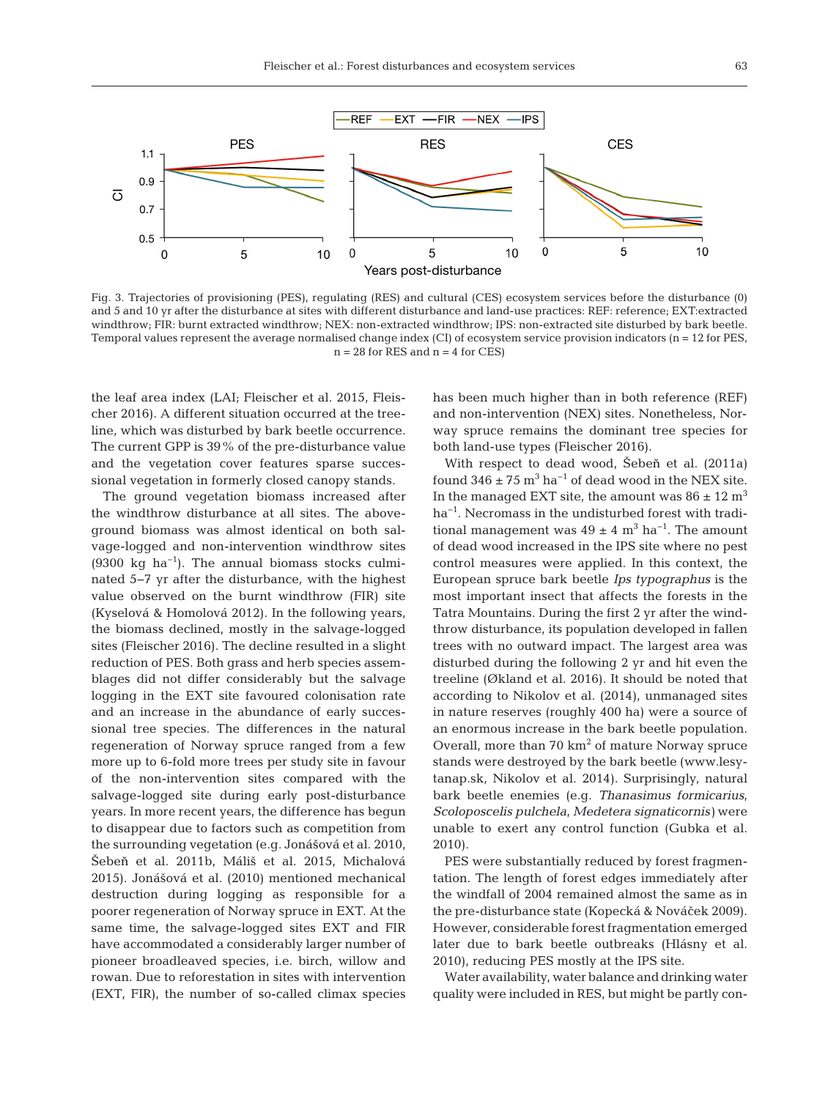

Fig. 3. Trajectories of provisioning (PES), regulating (RES) and cultural (CES) ecosystem services before the disturbance (0) and 5 and 10 yr after the disturbance at sites with different disturbance and land-use practices: REF: reference; EXT:extracted windthrow; FIR: burnt extracted windthrow; NEX: non-extracted windthrow; IPS: non-extracted site disturbed by bark beetle. Temporal values represent the average normalised change index  $|CI|$  of ecosystem service provision indicators  $(n = 12$  for PES,  $n = 28$  for RES and  $n = 4$  for CES)

the leaf area index (LAI; Fleischer et al. 2015, Fleischer 2016). A different situation occurred at the treeline, which was disturbed by bark beetle occurrence. The current GPP is 39% of the pre-disturbance value and the vegetation cover features sparse successional vegetation in formerly closed canopy stands.

The ground vegetation biomass increased after the windthrow disturbance at all sites. The aboveground biomass was almost identical on both salvage-logged and non-intervention windthrow sites  $(9300 \text{ kg } \text{ha}^{-1})$ . The annual biomass stocks culminated 5−7 yr after the disturbance, with the highest value observed on the burnt windthrow (FIR) site (Kyselová & Homolová 2012). In the following years, the biomass declined, mostly in the salvage-logged sites (Fleischer 2016). The decline resulted in a slight reduction of PES. Both grass and herb species assemblages did not differ considerably but the salvage logging in the EXT site favoured colonisation rate and an increase in the abundance of early successional tree species. The differences in the natural regeneration of Norway spruce ranged from a few more up to 6-fold more trees per study site in favour of the non-intervention sites compared with the salvage-logged site during early post-disturbance years. In more recent years, the difference has begun to disappear due to factors such as competition from the surrounding vegetation (e.g. Jonášová et al. 2010, Šebeň et al. 2011b, Máliš et al. 2015, Michalová 2015). Jonášová et al. (2010) mentioned mechanical de struction during logging as responsible for a poorer regeneration of Norway spruce in EXT. At the same time, the salvage-logged sites EXT and FIR have accommodated a considerably larger number of pioneer broadleaved species, i.e. birch, willow and rowan. Due to reforestation in sites with intervention (EXT, FIR), the number of so-called climax species

has been much higher than in both reference (REF) and non-intervention (NEX) sites. Nonetheless, Norway spruce remains the dominant tree species for both land-use types (Fleischer 2016).

With respect to dead wood, Šebeň et al. (2011a) found  $346 \pm 75$  m<sup>3</sup> ha<sup>-1</sup> of dead wood in the NEX site. In the managed EXT site, the amount was  $86 \pm 12$  m<sup>3</sup> ha<sup>-1</sup>. Necromass in the undisturbed forest with traditional management was  $49 \pm 4$  m<sup>3</sup> ha<sup>-1</sup>. The amount of dead wood increased in the IPS site where no pest control measures were applied. In this context, the European spruce bark beetle *Ips typographus* is the most important insect that affects the forests in the Tatra Mountains. During the first 2 yr after the windthrow disturbance, its population developed in fallen trees with no outward impact. The largest area was disturbed during the following 2 yr and hit even the treeline (Økland et al. 2016). It should be noted that according to Nikolov et al. (2014), unmanaged sites in nature reserves (roughly 400 ha) were a source of an enormous increase in the bark beetle population. Overall, more than  $70 \text{ km}^2$  of mature Norway spruce stands were destroyed by the bark beetle (www.lesytanap.sk, Nikolov et al. 2014). Surprisingly, natural bark beetle enemies (e.g. *Thanasimus formicarius*, *Scoloposcelis pulchela*, *Medetera signaticornis)* were unable to exert any control function (Gubka et al. 2010).

PES were substantially reduced by forest fragmentation. The length of forest edges immediately after the windfall of 2004 remained almost the same as in the pre-disturbance state (Kopecká & Nováček 2009). However, considerable forest fragmentation emerged later due to bark beetle outbreaks (Hlásny et al. 2010), reducing PES mostly at the IPS site.

Water availability, water balance and drinking water quality were included in RES, but might be partly con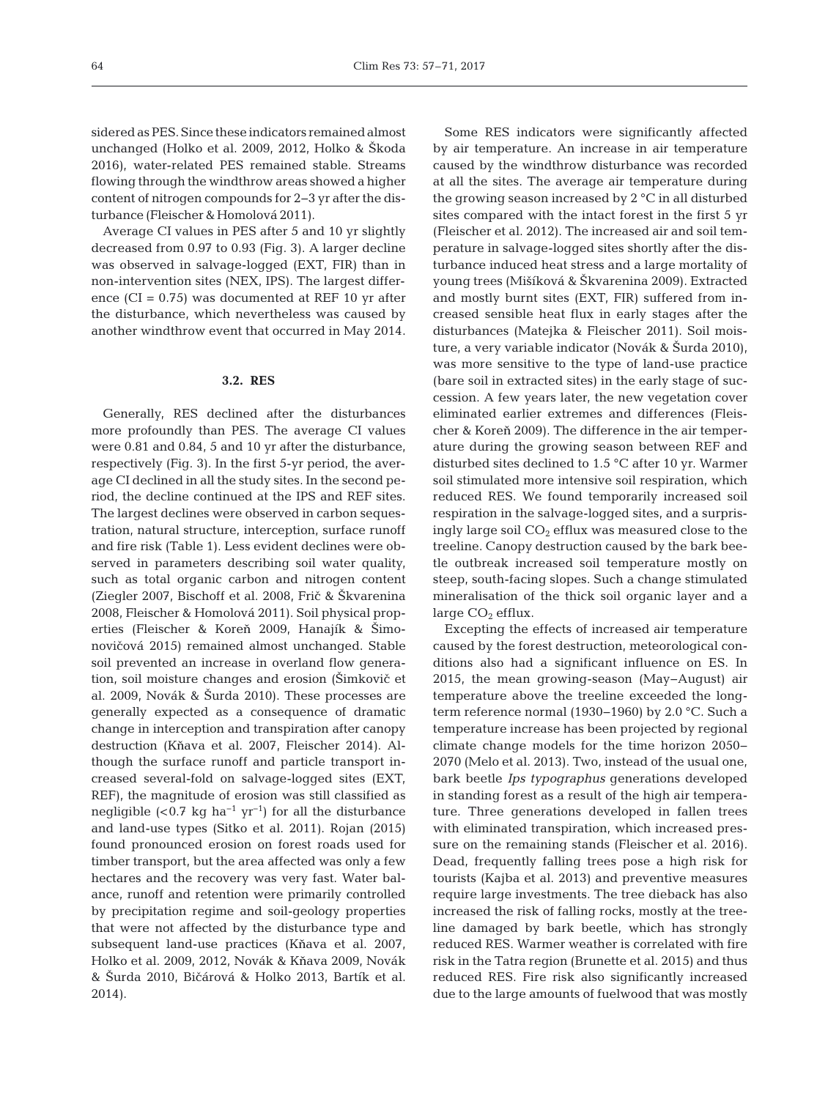sidered as PES. Since these indicators remained almost unchanged (Holko et al. 2009, 2012, Holko & Škoda 2016), water-related PES remained stable. Streams flowing through the windthrow areas showed a higher content of nitrogen compounds for 2−3 yr after the disturbance (Fleischer & Homolová 2011).

Average CI values in PES after 5 and 10 yr slightly decreased from 0.97 to 0.93 (Fig. 3). A larger decline was observed in salvage-logged (EXT, FIR) than in non-intervention sites (NEX, IPS). The largest difference (CI = 0.75) was documented at REF 10 yr after the disturbance, which nevertheless was caused by another windthrow event that occurred in May 2014.

#### **3.2. RES**

Generally, RES declined after the disturbances more profoundly than PES. The average CI values were 0.81 and 0.84, 5 and 10 yr after the disturbance, respectively (Fig. 3). In the first 5-yr period, the average CI declined in all the study sites. In the second period, the decline continued at the IPS and REF sites. The largest declines were observed in carbon sequestration, natural structure, interception, surface runoff and fire risk (Table 1). Less evident declines were observed in parameters describing soil water quality, such as total organic carbon and nitrogen content (Ziegler 2007, Bischoff et al. 2008, Fri< & Škvarenina 2008, Fleischer & Homolová 2011). Soil physical properties (Fleischer & Koreň 2009, Hanajík & Šimo novičová 2015) remained almost unchanged. Stable soil prevented an increase in overland flow generation, soil moisture changes and erosion (Šimkovi< et al. 2009, Novák & Šurda 2010). These processes are generally expected as a consequence of dramatic change in interception and transpiration after canopy destruction (Kňava et al. 2007, Fleischer 2014). Although the surface runoff and particle transport increased several-fold on salvage-logged sites (EXT, REF), the magnitude of erosion was still classified as negligible (<0.7 kg ha<sup>-1</sup> yr<sup>-1</sup>) for all the disturbance and land-use types (Sitko et al. 2011). Rojan (2015) found pronounced erosion on forest roads used for timber transport, but the area affected was only a few hectares and the recovery was very fast. Water balance, runoff and retention were primarily controlled by precipitation regime and soil-geology properties that were not affected by the disturbance type and subsequent land-use practices (Kňava et al. 2007, Holko et al. 2009, 2012, Novák & Kňava 2009, Novák & Šurda 2010, Bi<árová & Holko 2013, Bartík et al. 2014).

Some RES indicators were significantly affected by air temperature. An increase in air temperature caused by the windthrow disturbance was recorded at all the sites. The average air temperature during the growing season increased by 2 °C in all disturbed sites compared with the intact forest in the first 5 yr (Fleischer et al. 2012). The increased air and soil temperature in salvage-logged sites shortly after the disturbance induced heat stress and a large mortality of young trees (Mišíková & Škvarenina 2009). Extracted and mostly burnt sites (EXT, FIR) suffered from increased sensible heat flux in early stages after the disturbances (Matejka & Fleischer 2011). Soil moisture, a very variable indicator (Novák & Šurda 2010), was more sensitive to the type of land-use practice (bare soil in extracted sites) in the early stage of succession. A few years later, the new vegetation cover eliminated earlier extremes and differences (Fleischer & Koreň 2009). The difference in the air temperature during the growing season between REF and disturbed sites declined to 1.5  $\degree$ C after 10 yr. Warmer soil stimulated more intensive soil respiration, which reduced RES. We found temporarily increased soil respiration in the salvage-logged sites, and a surprisingly large soil  $CO<sub>2</sub>$  efflux was measured close to the treeline. Canopy destruction caused by the bark beetle outbreak increased soil temperature mostly on steep, south-facing slopes. Such a change stimulated mineralisation of the thick soil organic layer and a large  $CO<sub>2</sub>$  efflux.

Excepting the effects of increased air temperature caused by the forest destruction, meteorological conditions also had a significant influence on ES. In 2015, the mean growing-season (May− August) air temperature above the treeline exceeded the longterm reference normal (1930− 1960) by 2.0 °C. Such a temperature increase has been projected by regional climate change models for the time horizon 2050− 2070 (Melo et al. 2013). Two, instead of the usual one, bark beetle *Ips typographus* generations developed in standing forest as a result of the high air temperature. Three generations developed in fallen trees with eliminated transpiration, which increased pressure on the remaining stands (Fleischer et al. 2016). Dead, frequently falling trees pose a high risk for tourists (Kajba et al. 2013) and preventive measures require large investments. The tree dieback has also increased the risk of falling rocks, mostly at the treeline damaged by bark beetle, which has strongly reduced RES. Warmer weather is correlated with fire risk in the Tatra region (Brunette et al. 2015) and thus re duced RES. Fire risk also significantly increased due to the large amounts of fuelwood that was mostly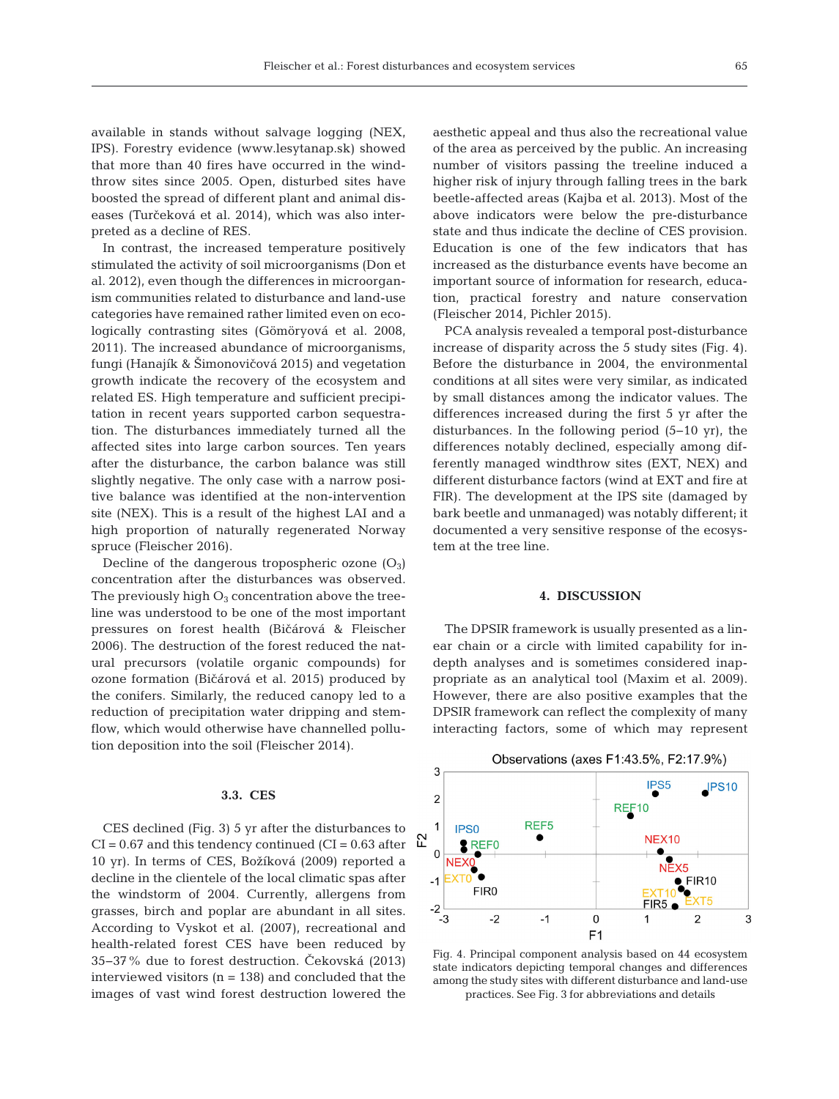available in stands without salvage logging (NEX, IPS). Forestry evidence (www.lesytanap.sk) showed that more than 40 fires have occurred in the windthrow sites since 2005. Open, disturbed sites have boosted the spread of different plant and animal diseases (Turčeková et al. 2014), which was also interpreted as a decline of RES.

In contrast, the increased temperature positively stimulated the activity of soil microorganisms (Don et al. 2012), even though the differences in microorganism communities related to disturbance and land-use categories have remained rather limited even on ecologically contrasting sites (Gömöryová et al. 2008, 2011). The increased abundance of microorganisms, fungi (Hanajík & Šimonovičová 2015) and vegetation growth indicate the recovery of the ecosystem and related ES. High temperature and sufficient precipitation in recent years supported carbon sequestration. The disturbances immediately turned all the affected sites into large carbon sources. Ten years after the disturbance, the carbon balance was still slightly negative. The only case with a narrow positive balance was identified at the non-intervention site (NEX). This is a result of the highest LAI and a high proportion of naturally regenerated Norway spruce (Fleischer 2016).

Decline of the dangerous tropospheric ozone  $(O_3)$ concentration after the disturbances was observed. The previously high  $O_3$  concentration above the treeline was understood to be one of the most important pressures on forest health (Bičárová & Fleischer 2006). The destruction of the forest reduced the natural precursors (volatile organic compounds) for ozone formation (Bičárová et al. 2015) produced by the conifers. Similarly, the reduced canopy led to a reduction of precipitation water dripping and stemflow, which would otherwise have channelled pollution deposition into the soil (Fleischer 2014).

# **3.3. CES**

CES declined (Fig. 3) 5 yr after the disturbances to  $CI = 0.67$  and this tendency continued ( $CI = 0.63$  after 10 yr). In terms of CES, Božíková (2009) reported a decline in the clientele of the local climatic spas after the windstorm of 2004. Currently, allergens from grasses, birch and poplar are abundant in all sites. According to Vyskot et al. (2007), recreational and health-related forest CES have been reduced by 35−37% due to forest destruction. Čekovská (2013) interviewed visitors  $(n = 138)$  and concluded that the images of vast wind forest destruction lowered the

aesthetic appeal and thus also the recreational value of the area as perceived by the public. An increasing number of visitors passing the treeline induced a higher risk of injury through falling trees in the bark beetle-affected areas (Kajba et al. 2013). Most of the above indicators were below the pre-disturbance state and thus indicate the decline of CES provision. Education is one of the few indicators that has increased as the disturbance events have become an important source of information for research, education, practical forestry and nature conservation (Fleischer 2014, Pichler 2015).

PCA analysis revealed a temporal post-disturbance increase of disparity across the 5 study sites (Fig. 4). Before the disturbance in 2004, the environmental conditions at all sites were very similar, as indicated by small distances among the indicator values. The differences increased during the first 5 yr after the disturbances. In the following period (5−10 yr), the differences notably declined, especially among differently managed windthrow sites (EXT, NEX) and different disturbance factors (wind at EXT and fire at FIR). The development at the IPS site (damaged by bark beetle and unmanaged) was notably different; it documented a very sensitive response of the ecosystem at the tree line.

#### **4. DISCUSSION**

The DPSIR framework is usually presented as a linear chain or a circle with limited capability for indepth analyses and is sometimes considered inappropriate as an analytical tool (Maxim et al. 2009). However, there are also positive examples that the DPSIR framework can reflect the complexity of many interacting factors, some of which may represent



Fig. 4. Principal component analysis based on 44 ecosystem state indicators depicting temporal changes and differences among the study sites with different disturbance and land-use practices. See Fig. 3 for abbreviations and details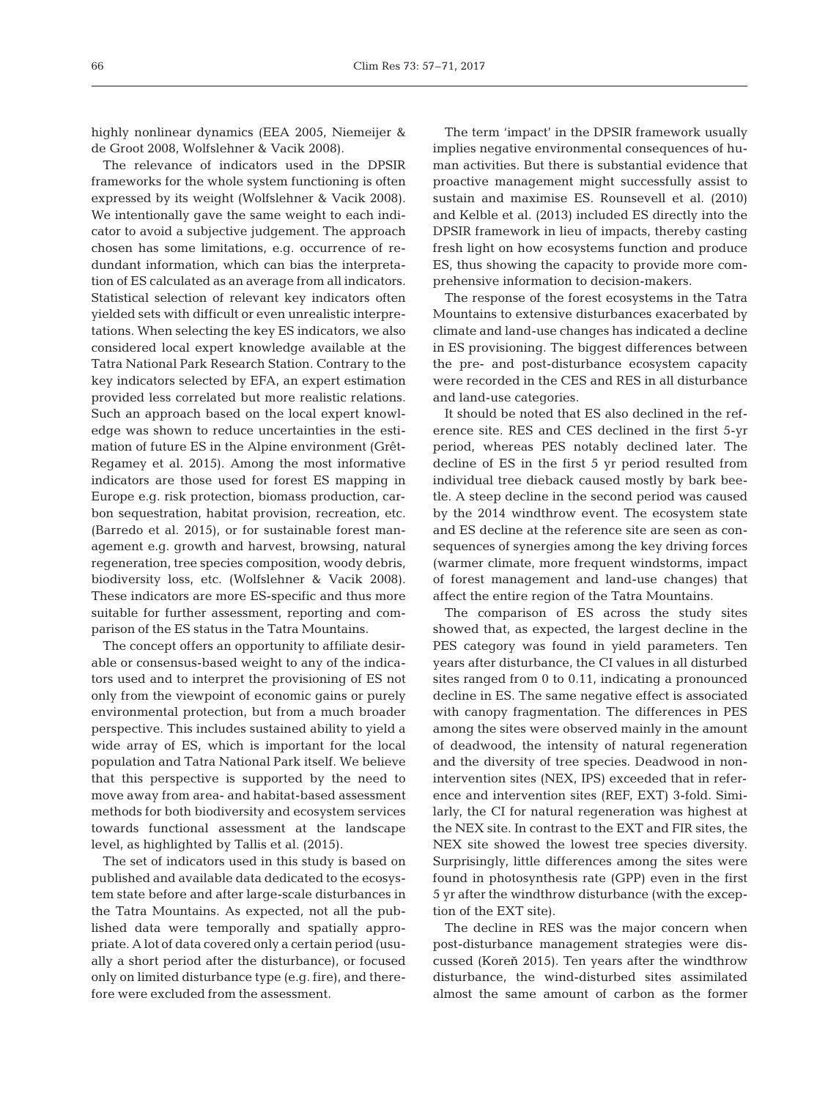highly nonlinear dynamics (EEA 2005, Niemeijer & de Groot 2008, Wolfslehner & Vacik 2008).

The relevance of indicators used in the DPSIR frameworks for the whole system functioning is often expressed by its weight (Wolfslehner & Vacik 2008). We intentionally gave the same weight to each indicator to avoid a subjective judgement. The approach chosen has some limitations, e.g. occurrence of redundant information, which can bias the interpretation of ES calculated as an average from all indicators. Statistical selection of relevant key indicators often yielded sets with difficult or even unrealistic interpretations. When selecting the key ES indicators, we also considered local expert knowledge available at the Tatra National Park Research Station. Contrary to the key indicators selected by EFA, an expert estimation provided less correlated but more realistic relations. Such an approach based on the local expert knowledge was shown to reduce uncertainties in the estimation of future ES in the Alpine environment (Grêt-Regamey et al. 2015). Among the most informative indicators are those used for forest ES mapping in Europe e.g. risk protection, biomass production, carbon sequestration, habitat provision, recreation, etc. (Barredo et al. 2015), or for sustainable forest management e.g. growth and harvest, browsing, natural regeneration, tree species composition, woody debris, biodiversity loss, etc. (Wolfslehner & Vacik 2008). These indicators are more ES-specific and thus more suitable for further assessment, reporting and comparison of the ES status in the Tatra Mountains.

The concept offers an opportunity to affiliate desirable or consensus-based weight to any of the indicators used and to interpret the provisioning of ES not only from the viewpoint of economic gains or purely environmental protection, but from a much broader perspective. This includes sustained ability to yield a wide array of ES, which is important for the local population and Tatra National Park itself. We believe that this perspective is supported by the need to move away from area- and habitat-based assessment methods for both biodiversity and ecosystem services towards functional assessment at the landscape level, as highlighted by Tallis et al. (2015).

The set of indicators used in this study is based on published and available data dedicated to the ecosystem state before and after large-scale disturbances in the Tatra Mountains. As expected, not all the published data were temporally and spatially appropriate. A lot of data covered only a certain period (usually a short period after the disturbance), or focused only on limited disturbance type (e.g. fire), and therefore were excluded from the assessment.

The term 'impact' in the DPSIR framework usually implies negative environmental consequences of human activities. But there is substantial evidence that proactive management might successfully assist to sustain and maximise ES. Rounsevell et al. (2010) and Kelble et al. (2013) included ES directly into the DPSIR framework in lieu of impacts, thereby casting fresh light on how ecosystems function and produce ES, thus showing the capacity to provide more comprehensive information to decision-makers.

The response of the forest ecosystems in the Tatra Mountains to extensive disturbances exacerbated by climate and land-use changes has indicated a decline in ES provisioning. The biggest differences between the pre- and post-disturbance ecosystem capacity were recorded in the CES and RES in all disturbance and land-use categories.

It should be noted that ES also declined in the reference site. RES and CES declined in the first 5-yr period, whereas PES notably declined later. The decline of ES in the first 5 yr period resulted from individual tree dieback caused mostly by bark beetle. A steep decline in the second period was caused by the 2014 windthrow event. The ecosystem state and ES decline at the reference site are seen as consequences of synergies among the key driving forces (warmer climate, more frequent windstorms, impact of forest management and land-use changes) that affect the entire region of the Tatra Mountains.

The comparison of ES across the study sites showed that, as expected, the largest decline in the PES category was found in yield parameters. Ten years after disturbance, the CI values in all disturbed sites ranged from 0 to 0.11, indicating a pronounced decline in ES. The same negative effect is associated with canopy fragmentation. The differences in PES among the sites were observed mainly in the amount of deadwood, the intensity of natural regeneration and the diversity of tree species. Deadwood in nonintervention sites (NEX, IPS) exceeded that in reference and intervention sites (REF, EXT) 3-fold. Similarly, the CI for natural regeneration was highest at the NEX site. In contrast to the EXT and FIR sites, the NEX site showed the lowest tree species diversity. Surprisingly, little differences among the sites were found in photosynthesis rate (GPP) even in the first 5 yr after the windthrow disturbance (with the exception of the EXT site).

The decline in RES was the major concern when post-disturbance management strategies were discussed (Koreň 2015). Ten years after the windthrow disturbance, the wind-disturbed sites assimilated almost the same amount of carbon as the former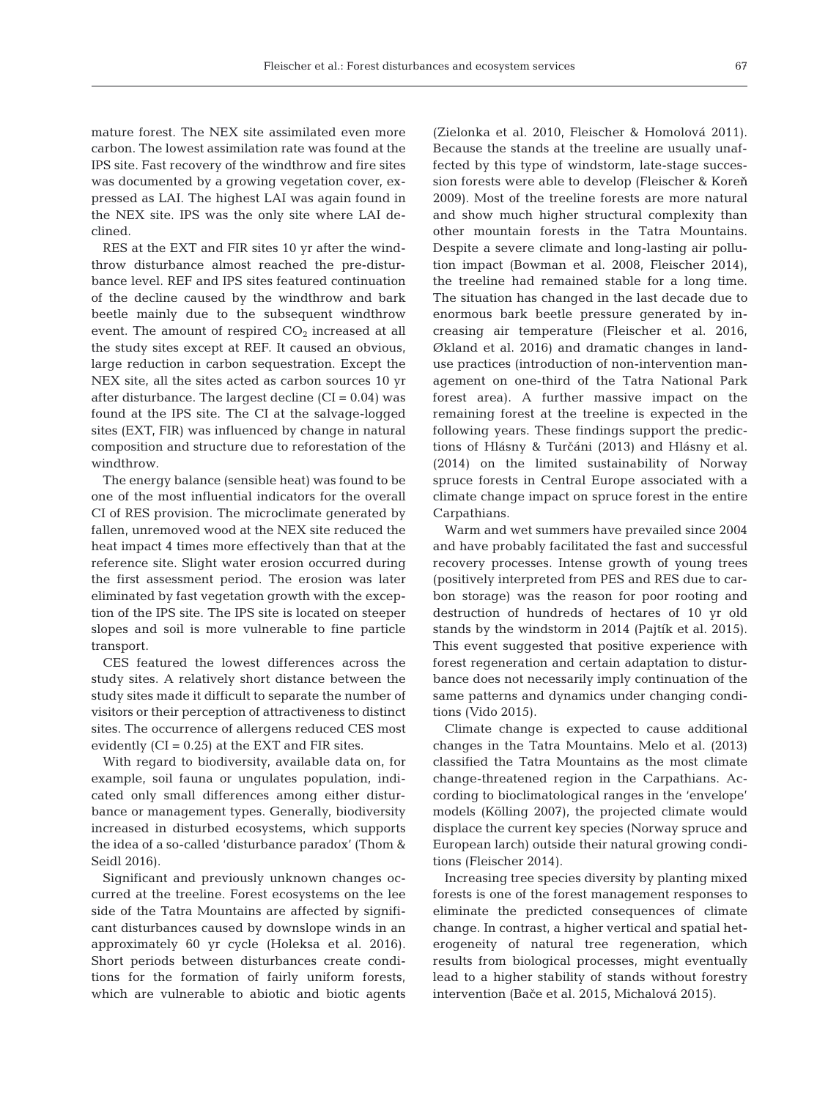mature forest. The NEX site assimilated even more carbon. The lowest assimilation rate was found at the IPS site. Fast recovery of the windthrow and fire sites was documented by a growing vegetation cover, expressed as LAI. The highest LAI was again found in the NEX site. IPS was the only site where LAI declined.

RES at the EXT and FIR sites 10 yr after the windthrow disturbance almost reached the pre-disturbance level. REF and IPS sites featured continuation of the decline caused by the windthrow and bark beetle mainly due to the subsequent windthrow event. The amount of respired  $CO<sub>2</sub>$  increased at all the study sites except at REF. It caused an obvious, large reduction in carbon sequestration. Except the NEX site, all the sites acted as carbon sources 10 yr after disturbance. The largest decline  $(CI = 0.04)$  was found at the IPS site. The CI at the salvage-logged sites (EXT, FIR) was influenced by change in natural composition and structure due to reforestation of the windthrow.

The energy balance (sensible heat) was found to be one of the most influential indicators for the overall CI of RES provision. The microclimate generated by fallen, unremoved wood at the NEX site reduced the heat impact 4 times more effectively than that at the reference site. Slight water erosion occurred during the first assessment period. The erosion was later eliminated by fast vegetation growth with the exception of the IPS site. The IPS site is located on steeper slopes and soil is more vulnerable to fine particle transport.

CES featured the lowest differences across the study sites. A relatively short distance between the study sites made it difficult to separate the number of visitors or their perception of attractiveness to distinct sites. The occurrence of allergens reduced CES most evidently  $(CI = 0.25)$  at the EXT and FIR sites.

With regard to biodiversity, available data on, for example, soil fauna or ungulates population, indicated only small differences among either disturbance or management types. Generally, biodiversity increased in disturbed ecosystems, which supports the idea of a so-called 'disturbance paradox' (Thom & Seidl 2016).

Significant and previously unknown changes oc curred at the treeline. Forest ecosystems on the lee side of the Tatra Mountains are affected by significant disturbances caused by downslope winds in an approximately 60 yr cycle (Holeksa et al. 2016). Short periods between disturbances create conditions for the formation of fairly uniform forests, which are vulnerable to abiotic and biotic agents (Zielonka et al. 2010, Fleischer & Homolová 2011). Because the stands at the treeline are usually unaffected by this type of windstorm, late-stage succession forests were able to develop (Fleischer & Koreň 2009). Most of the treeline forests are more natural and show much higher structural complexity than other mountain forests in the Tatra Mountains. Despite a severe climate and long-lasting air pollution impact (Bowman et al. 2008, Fleischer 2014), the treeline had remained stable for a long time. The situation has changed in the last decade due to enormous bark beetle pressure generated by increasing air temperature (Fleischer et al. 2016, Økland et al. 2016) and dramatic changes in landuse practices (introduction of non-intervention management on one-third of the Tatra National Park forest area). A further massive impact on the remaining forest at the treeline is expected in the following years. These findings support the predictions of Hlásny & Turčáni (2013) and Hlásny et al. (2014) on the limited sustainability of Norway spruce forests in Central Europe associated with a climate change impact on spruce forest in the entire Carpathians.

Warm and wet summers have prevailed since 2004 and have probably facilitated the fast and successful recovery processes. Intense growth of young trees (positively interpreted from PES and RES due to carbon storage) was the reason for poor rooting and destruction of hundreds of hectares of 10 yr old stands by the windstorm in 2014 (Pajtík et al. 2015). This event suggested that positive experience with forest regeneration and certain adaptation to disturbance does not necessarily imply continuation of the same patterns and dynamics under changing conditions (Vido 2015).

Climate change is expected to cause additional changes in the Tatra Mountains. Melo et al. (2013) classified the Tatra Mountains as the most climate change-threatened region in the Carpathians. Ac cording to bioclimatological ranges in the 'envelope' models (Kölling 2007), the projected climate would displace the current key species (Norway spruce and European larch) outside their natural growing conditions (Fleischer 2014).

Increasing tree species diversity by planting mixed forests is one of the forest management responses to eliminate the predicted consequences of climate change. In contrast, a higher vertical and spatial heterogeneity of natural tree regeneration, which results from biological processes, might eventually lead to a higher stability of stands without forestry intervention (Bače et al. 2015, Michalová 2015).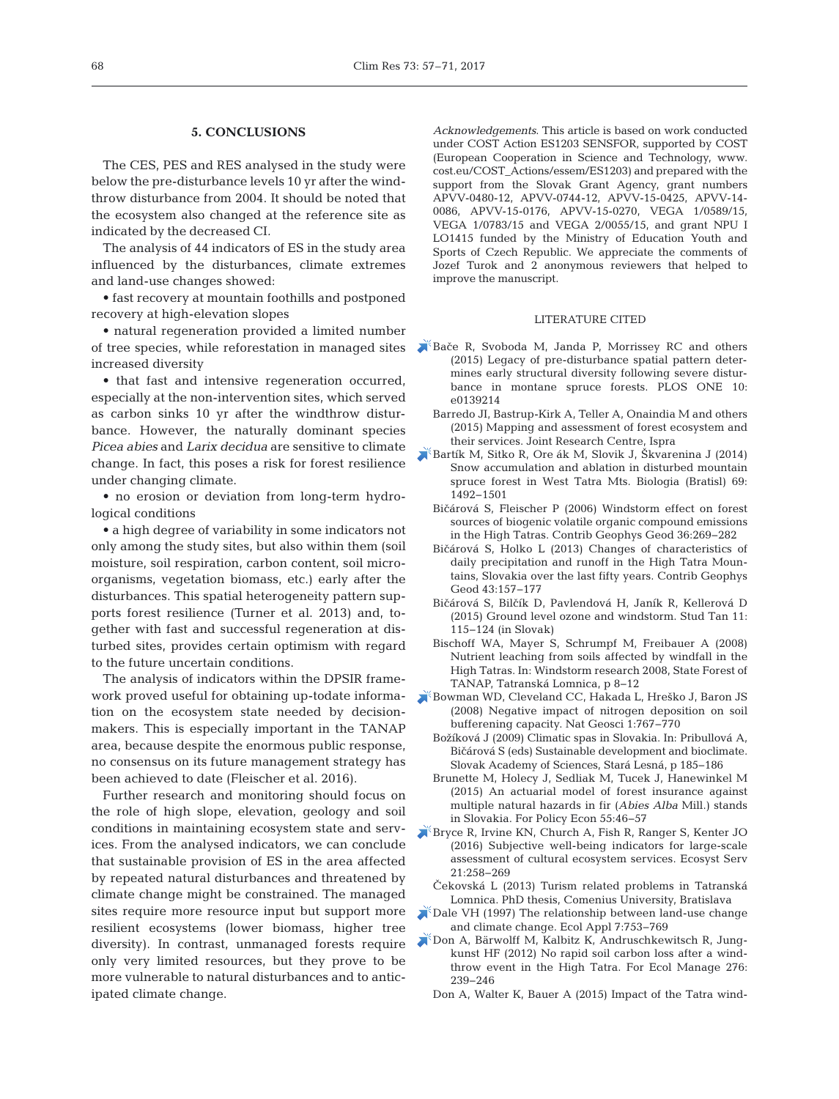## **5. CONCLUSIONS**

The CES, PES and RES analysed in the study were below the pre-disturbance levels 10 yr after the windthrow disturbance from 2004. It should be noted that the ecosystem also changed at the reference site as indicated by the decreased CI*.*

The analysis of 44 indicators of ES in the study area influenced by the disturbances, climate extremes and land-use changes showed:

• fast recovery at mountain foothills and postponed recovery at high-elevation slopes

• natural regeneration provided a limited number of tree species, while reforestation in managed sites increased diversity

• that fast and intensive regeneration occurred, especially at the non-intervention sites, which served as carbon sinks 10 yr after the windthrow disturbance. However, the naturally dominant species *Picea abies* and *Larix decidua* are sensitive to climate change. In fact, this poses a risk for forest resilience under changing climate.

• no erosion or deviation from long-term hydrological conditions

• a high degree of variability in some indicators not only among the study sites, but also within them (soil moisture, soil respiration, carbon content, soil microorganisms, vegetation biomass, etc.) early after the disturbances. This spatial heterogeneity pattern supports forest resilience (Turner et al. 2013) and, together with fast and successful regeneration at disturbed sites, provides certain optimism with regard to the future uncertain conditions.

The analysis of indicators within the DPSIR framework proved useful for obtaining up-todate information on the ecosystem state needed by decisionmakers. This is especially important in the TANAP area, because despite the enormous public response, no consensus on its future management strategy has been achieved to date (Fleischer et al. 2016).

Further research and monitoring should focus on the role of high slope, elevation, geology and soil conditions in maintaining ecosystem state and services. From the analysed indicators, we can conclude that sustainable provision of ES in the area affected by repeated natural disturbances and threatened by climate change might be constrained. The managed sites require more resource input but support more resilient ecosystems (lower biomass, higher tree diversity). In contrast, unmanaged forests require only very limited resources, but they prove to be more vulnerable to natural disturbances and to anticipated climate change.

*Acknowledgements*. This article is based on work conducted under COST Action ES1203 SENSFOR, supported by COST (European Cooperation in Science and Technology, www. cost. eu/COST\_Actions/essem/ES1203) and prepared with the support from the Slovak Grant Agency, grant numbers APVV-0480-12, APVV-0744-12, APVV-15-0425, APVV-14- 0086, APVV-15-0176, APVV-15-0270, VEGA 1/0589/15, VEGA 1/0783/15 and VEGA 2/0055/15, and grant NPU I LO1415 funded by the Ministry of Education Youth and Sports of Czech Republic. We appreciate the comments of Jozef Turok and 2 anonymous reviewers that helped to improve the manuscript.

#### LITERATURE CITED

- Bač[e R, Svoboda M, Janda P, Morrissey RC and others](https://doi.org/10.1371/journal.pone.0139214) (2015) Legacy of pre-disturbance spatial pattern determines early structural diversity following severe disturbance in montane spruce forests. PLOS ONE 10: e0139214
	- Barredo JI, Bastrup-Kirk A, Teller A, Onaindia M and others (2015) Mapping and assessment of forest ecosystem and their services. Joint Research Centre, Ispra
- [Bartík M, Sitko R, Ore ák M, Slovik J, Škvarenina J \(2014\)](https://doi.org/10.2478/s11756-014-0461-x) Snow accumulation and ablation in disturbed mountain spruce forest in West Tatra Mts. Biologia (Bratisl) 69: 1492−1501
	- Bi<árová S, Fleischer P (2006) Windstorm effect on forest sources of biogenic volatile organic compound emissions in the High Tatras. Contrib Geophys Geod 36: 269−282
	- Bi<árová S, Holko L (2013) Changes of characteristics of daily precipitation and runoff in the High Tatra Mountains, Slovakia over the last fifty years. Contrib Geophys Geod 43: 157−177
	- Bičárová S, Bilčík D, Pavlendová H, Janík R, Kellerová D (2015) Ground level ozone and windstorm. Stud Tan 11: 115−124 (in Slovak)
	- Bischoff WA, Mayer S, Schrumpf M, Freibauer A (2008) Nutrient leaching from soils affected by windfall in the High Tatras. In: Windstorm research 2008, State Forest of TANAP, Tatranská Lomnica, p 8−12
- [Bowman WD, Cleveland CC, Hakada L, Hreško J, Baron JS](https://doi.org/10.1038/ngeo339) (2008) Negative impact of nitrogen deposition on soil bufferening capacity. Nat Geosci 1: 767−770
	- Božíková J (2009) Climatic spas in Slovakia. In: Pribullová A, Bi<árová S (eds) Sustainable development and bioclimate. Slovak Academy of Sciences, Stará Lesná, p 185−186
	- Brunette M, Holecy J, Sedliak M, Tucek J, Hanewinkel M (2015) An actuarial model of forest insurance against multiple natural hazards in fir (*Abies Alba* Mill.) stands in Slovakia. For Policy Econ 55: 46−57
- [Bryce R, Irvine KN, Church A, Fish R, Ranger S, Kenter JO](https://doi.org/10.1016/j.ecoser.2016.07.015) (2016) Subjective well-being indicators for large-scale assessment of cultural ecosystem services. Ecosyst Serv 21: 258−269
- Čekovská L (2013) Turism related problems in Tatranská Lomnica. PhD thesis, Comenius University, Bratislava
- [Dale VH \(1997\) The relationship between land-use change](https://doi.org/10.1890/1051-0761(1997)007[0753%3ATRBLUC]2.0.CO%3B2) and climate change. Ecol Appl 7:753-769
- [Don A, Bärwolff M, Kalbitz K, Andruschkewitsch R, Jung](https://doi.org/10.1016/j.foreco.2012.04.010)  kunst HF (2012) No rapid soil carbon loss after a windthrow event in the High Tatra. For Ecol Manage 276: 239−246
	- Don A, Walter K, Bauer A (2015) Impact of the Tatra wind-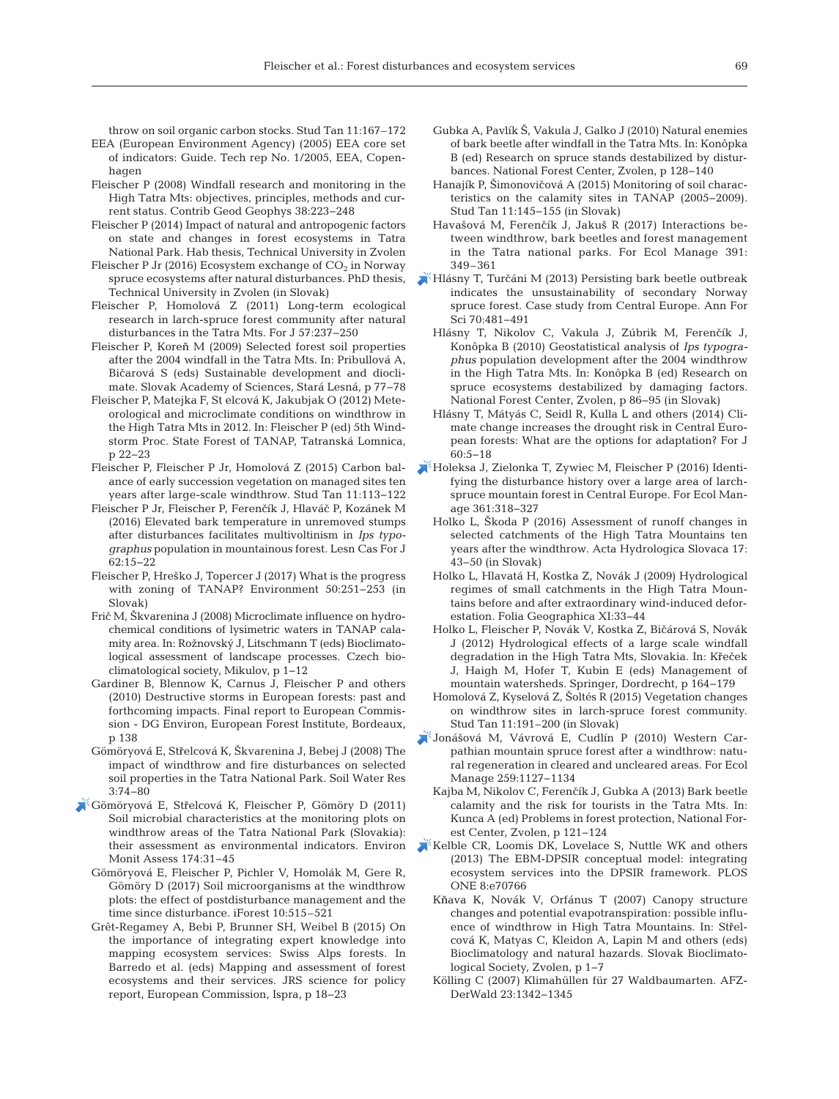throw on soil organic carbon stocks. Stud Tan 11: 167–172

- EEA (European Environment Agency) (2005) EEA core set of indicators: Guide. Tech rep No. 1/2005, EEA, Copenhagen
- Fleischer P (2008) Windfall research and monitoring in the High Tatra Mts: objectives, principles, methods and current status. Contrib Geod Geophys 38: 223−248
- Fleischer P (2014) Impact of natural and antropogenic factors on state and changes in forest ecosystems in Tatra National Park. Hab thesis, Technical University in Zvolen
- Fleischer P Jr (2016) Ecosystem exchange of  $CO<sub>2</sub>$  in Norway spruce ecosystems after natural disturbances. PhD thesis, Technical University in Zvolen (in Slovak)
- Fleischer P, Homolová Z (2011) Long-term ecological research in larch-spruce forest community after natural disturbances in the Tatra Mts. For J 57:237-250
- Fleischer P, Koreň M (2009) Selected forest soil properties after the 2004 windfall in the Tatra Mts. In: Pribullová A, Bičarová S (eds) Sustainable development and dioclimate. Slovak Academy of Sciences, Stará Lesná, p 77−78
- Fleischer P, Matejka F, St elcová K, Jakubjak O (2012) Meteorological and microclimate conditions on windthrow in the High Tatra Mts in 2012. In: Fleischer P (ed) 5th Windstorm Proc. State Forest of TANAP, Tatranská Lomnica, p 22−23
- Fleischer P, Fleischer P Jr, Homolová Z (2015) Carbon balance of early succession vegetation on managed sites ten years after large-scale windthrow. Stud Tan 11:113-122
- Fleischer P Jr, Fleischer P, Ferenčík J, Hlaváč P, Kozánek M (2016) Elevated bark temperature in unremoved stumps after disturbances facilitates multivoltinism in *Ips typo graphus* population in mountainous forest. Lesn Cas For J 62: 15−22
- Fleischer P, Hreško J, Topercer J (2017) What is the progress with zoning of TANAP? Environment 50:251-253 (in Slovak)
- Fri< M, Škvarenina J (2008) Microclimate influence on hydrochemical conditions of lysimetric waters in TANAP cala mity area. In:Rožnovský J, Litschmann T (eds) Bioclimatological assessment of landscape processes. Czech bioclima tological society, Mikulov, p 1−12
- Gardiner B, Blennow K, Carnus J, Fleischer P and others (2010) Destructive storms in European forests: past and forthcoming impacts. Final report to European Commission - DG Environ, European Forest Institute, Bordeaux, p 138
- Gömöryová E, Střelcová K, Škvarenina J, Bebej J (2008) The impact of windthrow and fire disturbances on selected soil properties in the Tatra National Park. Soil Water Res 3: 74−80
- Gömöryová E, Stř[elcová K, Fleischer P, Gömöry D \(2011\)](https://doi.org/10.1007/s10661-010-1755-2) Soil microbial characteristics at the monitoring plots on windthrow areas of the Tatra National Park (Slovakia): their assessment as environmental indicators. Environ Monit Assess 174: 31−45
	- Gömöryová E, Fleischer P, Pichler V, Homolák M, Gere R, Gömöry D (2017) Soil microorganisms at the windthrow plots: the effect of postdisturbance management and the time since disturbance. iForest 10:515-521
	- Grêt-Regamey A, Bebi P, Brunner SH, Weibel B (2015) On the importance of integrating expert knowledge into mapping ecosystem services: Swiss Alps forests. In Barredo et al. (eds) Mapping and assessment of forest ecosystems and their services. JRS science for policy report, European Commission, Ispra, p 18−23
- Gubka A, Pavlík Š, Vakula J, Galko J (2010) Natural enemies of bark beetle after windfall in the Tatra Mts. In: Konôpka B (ed) Research on spruce stands destabilized by disturbances. National Forest Center, Zvolen, p 128−140
- Hanajík P, Šimonovičová A (2015) Monitoring of soil characteristics on the calamity sites in TANAP (2005−2009). Stud Tan 11: 145−155 (in Slovak)
- Havašová M, Ferenčík J, Jakuš R (2017) Interactions between windthrow, bark beetles and forest management in the Tatra national parks. For Ecol Manage 391: 349–361
- Hlásny T, Tur<[áni M \(2013\) Persisting bark beetle outbreak](https://doi.org/10.1007/s13595-013-0279-7) indicates the unsustainability of secondary Norway spruce forest. Case study from Central Europe. Ann For Sci 70:481-491
	- Hlásny T, Nikolov C, Vakula J, Zúbrik M, Ferenčík J, Konôpka B (2010) Geostatistical analysis of *Ips typographus* population development after the 2004 windthrow in the High Tatra Mts. In: Konôpka B (ed) Research on spruce ecosystems destabilized by damaging factors. National Forest Center, Zvolen, p 86−95 (in Slovak)
	- Hlásny T, Mátyás C, Seidl R, Kulla L and others (2014) Climate change increases the drought risk in Central European forests:What are the options for adaptation? For J 60: 5−18
- [Holeksa J, Zielonka T, Zywiec M, Fleischer P \(2016\) Identi](https://doi.org/10.1016/j.foreco.2015.11.031)fying the disturbance history over a large area of larchspruce mountain forest in Central Europe. For Ecol Manage 361:318-327
	- Holko L, Škoda P (2016) Assessment of runoff changes in selected catchments of the High Tatra Mountains ten years after the windthrow. Acta Hydrologica Slovaca 17: 43−50 (in Slovak)
	- Holko L, Hlavatá H, Kostka Z, Novák J (2009) Hydrological regimes of small catchments in the High Tatra Mountains before and after extraordinary wind-induced deforestation. Folia Geographica XI:33-44
	- Holko L, Fleischer P, Novák V, Kostka Z, Bičárová S, Novák J (2012) Hydrological effects of a large scale windfall degradation in the High Tatra Mts, Slovakia. In: Křeček J, Haigh M, Hofer T, Kubin E (eds) Management of mountain watersheds. Springer, Dordrecht, p 164−179
	- Homolová Z, Kyselová Z, Šoltés R (2015) Vegetation changes on windthrow sites in larch-spruce forest community. Stud Tan 11: 191–200 (in Slovak)
- [Jonášová M, Vávrová E, Cudlín P \(2010\) Western Car](https://doi.org/10.1016/j.foreco.2009.12.027)  pathian mountain spruce forest after a windthrow: natural regeneration in cleared and uncleared areas. For Ecol Manage 259: 1127−1134
- Kajba M, Nikolov C, Ferenčík J, Gubka A (2013) Bark beetle calamity and the risk for tourists in the Tatra Mts. In: Kunca A (ed) Problems in forest protection, National Forest Center, Zvolen, p 121−124
- [Kelble CR, Loomis DK, Lovelace S, Nuttle WK and others](https://doi.org/10.1371/journal.pone.0070766) (2013) The EBM-DPSIR conceptual model: integrating ecosystem services into the DPSIR framework. PLOS ONE 8:e70766
	- <sup>K</sup>ňava K, Novák V, Orfánus T (2007) Canopy structure changes and potential evapotranspiration: possible influence of windthrow in High Tatra Mountains. In: Střelcová K, Matyas C, Kleidon A, Lapin M and others (eds) Bioclimatology and natural hazards. Slovak Bioclimatological Society, Zvolen, p 1−7
	- Kölling C (2007) Klimahüllen für 27 Waldbaumarten. AFZ-DerWald 23: 1342−1345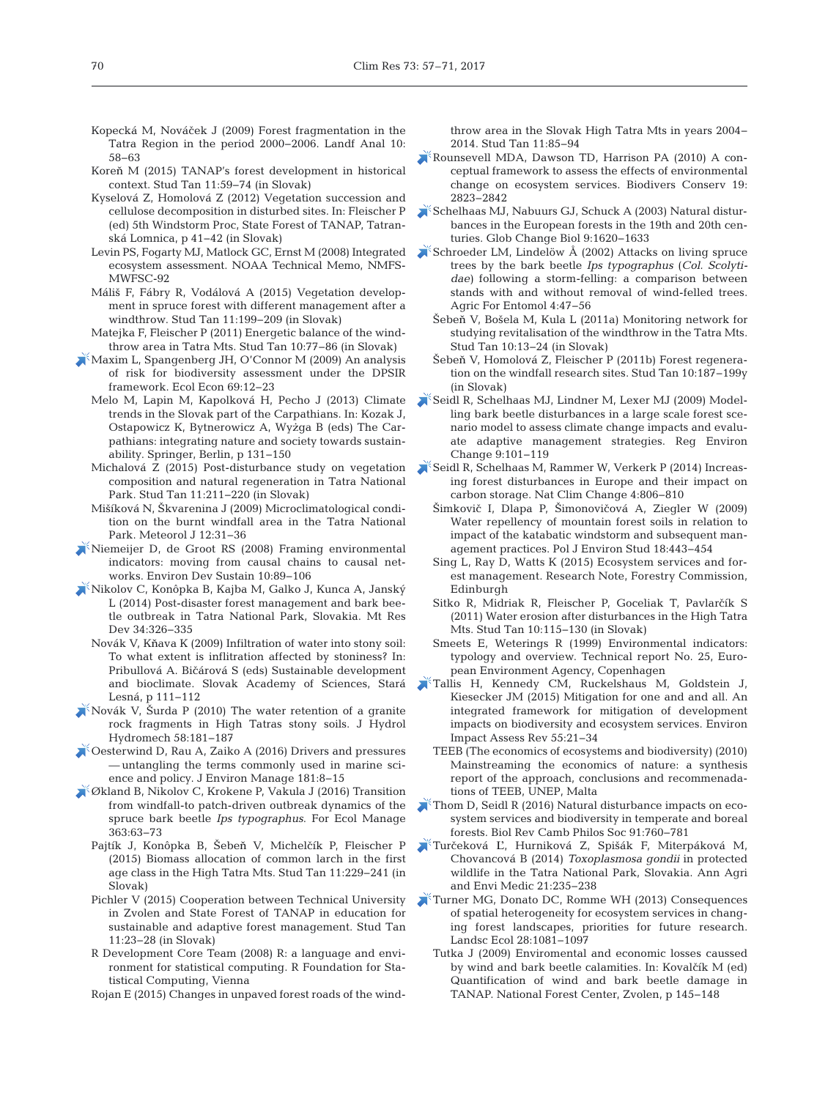- Kopecká M, Nováček J (2009) Forest fragmentation in the Tatra Region in the period 2000−2006. Landf Anal 10: 58−63
- Koreň M (2015) TANAP's forest development in historical context. Stud Tan 11: 59−74 (in Slovak)
- Kyselová Z, Homolová Z (2012) Vegetation succession and cellulose decomposition in disturbed sites. In: Fleischer P (ed) 5th Windstorm Proc, State Forest of TANAP, Tatranská Lomnica, p 41−42 (in Slovak)
- Levin PS, Fogarty MJ, Matlock GC, Ernst M (2008) Integrated ecosystem assessment. NOAA Technical Memo, NMFS-MWFSC-92
- Máliš F, Fábry R, Vodálová A (2015) Vegetation development in spruce forest with different management after a windthrow. Stud Tan 11: 199−209 (in Slovak)
- Matejka F, Fleischer P (2011) Energetic balance of the windthrow area in Tatra Mts. Stud Tan 10: 77−86 (in Slovak)
- [Maxim L, Spangenberg JH, O'Connor M \(2009\) An analysis](https://doi.org/10.1016/j.ecolecon.2009.03.017) of risk for biodiversity assessment under the DPSIR framework. Ecol Econ 69: 12−23
	- Melo M, Lapin M, Kapolková H, Pecho J (2013) Climate trends in the Slovak part of the Carpathians. In: Kozak J, Ostapowicz K, Bytnerowicz A, Wyżga B (eds) The Car pathians: integrating nature and society towards sustainability. Springer, Berlin, p 131−150
	- Michalová Z (2015) Post-disturbance study on vegetation composition and natural regeneration in Tatra National Park. Stud Tan 11:211-220 (in Slovak)
	- Mišíková N, Škvarenina J (2009) Microclimatological condition on the burnt windfall area in the Tatra National Park. Meteorol J 12:31-36
- [Niemeijer D, de Groot RS \(2008\) Framing environmental](https://doi.org/10.1007/s10668-006-9040-9) indicators: moving from causal chains to causal networks. Environ Dev Sustain 10:89-106
- [Nikolov C, Konôpka B, Kajba M, Galko J, Kunca A, Janský](https://doi.org/10.1659/MRD-JOURNAL-D-13-00017.1) L (2014) Post-disaster forest management and bark beetle outbreak in Tatra National Park, Slovakia. Mt Res Dev 34:326-335
	- Novák V, Kňava K (2009) Infiltration of water into stony soil: To what extent is inflitration affected by stoniness? In: Pribullová A. Bičárová S (eds) Sustainable development and bioclimate. Slovak Academy of Sciences, Stará Lesná, p 111−112
- [Novák V, Šurda P \(2010\) The water retention of a granite](https://doi.org/10.2478/v10098-010-0017-x) rock fragments in High Tatras stony soils. J Hydrol Hydromech 58: 181−187
- [Oesterwind D, Rau A, Zaiko A \(2016\) Drivers and pressures](https://doi.org/10.1016/j.jenvman.2016.05.058) — untangling the terms commonly used in marine science and policy. J Environ Manage 181:8-15
- [Økland B, Nikolov C, Krokene P, Vakula J \(2016\) Transition](https://doi.org/10.1016/j.foreco.2015.12.007) from windfall-to patch-driven outbreak dynamics of the spruce bark beetle *Ips typographus*. For Ecol Manage 363: 63−73
	- Pajtík J, Konôpka B, Šebeň V, Michelčík P, Fleischer P (2015) Biomass allocation of common larch in the first age class in the High Tatra Mts. Stud Tan 11:229-241 (in Slovak)
	- Pichler V (2015) Cooperation between Technical University in Zvolen and State Forest of TANAP in education for sustainable and adaptive forest management. Stud Tan 11:23-28 (in Slovak)
	- R Development Core Team (2008) R: a language and environment for statistical computing. R Foundation for Statistical Computing, Vienna
	- Rojan E (2015) Changes in unpaved forest roads of the wind-

throw area in the Slovak High Tatra Mts in years 2004− 2014. Stud Tan 11:85-94

- [Rounsevell MDA, Dawson TD, Harrison PA \(2010\) A con](https://doi.org/10.1007/s10531-010-9838-5)ceptual framework to assess the effects of environmental change on ecosystem services. Biodivers Conserv 19: 2823−2842
- [Schelhaas MJ, Nabuurs GJ, Schuck A \(2003\) Natural distur](https://doi.org/10.1046/j.1365-2486.2003.00684.x)bances in the European forests in the 19th and 20th centuries. Glob Change Biol 9: 1620−1633
- [Schroeder LM, Lindelöw Å \(2002\) Attacks on living spruce](https://doi.org/10.1046/j.1461-9563.2002.00122.x) trees by the bark beetle *Ips typographus* (*Col. Scolyti*dae) following a storm-felling: a comparison between stands with and without removal of wind-felled trees. Agric For Entomol 4: 47−56
	- Šebeň V, Bošela M, Kula L (2011a) Monitoring network for studying revitalisation of the windthrow in the Tatra Mts. Stud Tan 10: 13−24 (in Slovak)
	- Šebeň V, Homolová Z, Fleischer P (2011b) Forest regeneration on the windfall research sites. Stud Tan 10: 187−199y (in Slovak)
- [Seidl R, Schelhaas MJ, Lindner M, Lexer MJ \(2009\) Model](https://doi.org/10.1007/s10113-008-0068-2)ling bark beetle disturbances in a large scale forest scenario model to assess climate change impacts and evaluate adaptive management strategies. Reg Environ Change 9: 101−119
- [Seidl R, Schelhaas M, Rammer W, Verkerk P \(2014\) Increas](https://doi.org/10.1038/nclimate2318)ing forest disturbances in Europe and their impact on carbon storage. Nat Clim Change 4: 806−810
	- Šimkovič I, Dlapa P, Šimonovičová A, Ziegler W (2009) Water repellency of mountain forest soils in relation to impact of the katabatic windstorm and subsequent management practices. Pol J Environ Stud 18: 443−454
	- Sing L, Ray D, Watts K (2015) Ecosystem services and forest management. Research Note, Forestry Commission, Edinburgh
	- Sitko R, Midriak R, Fleischer P, Goceliak T, Pavlarčík S (2011) Water erosion after disturbances in the High Tatra Mts. Stud Tan 10: 115−130 (in Slovak)
	- Smeets E, Weterings R (1999) Environmental indicators: typology and overview. Technical report No. 25, European Environment Agency, Copenhagen
- [Tallis H, Kennedy CM, Ruckelshaus M, Goldstein J,](https://doi.org/10.1016/j.eiar.2015.06.005) Kiesecker JM (2015) Mitigation for one and and all. An integrated framework for mitigation of development impacts on biodiversity and ecosystem services. Environ Impact Assess Rev 55: 21−34
	- TEEB (The economics of ecosystems and biodiversity) (2010) Mainstreaming the economics of nature: a synthesis report of the approach, conclusions and recommenadations of TEEB, UNEP, Malta
- [Thom D, Seidl R \(2016\) Natural disturbance impacts on eco](https://doi.org/10.1111/brv.12193)system services and biodiversity in temperate and boreal forests. Biol Rev Camb Philos Soc 91: 760−781
- Tur<eková Ľ[, Hurniková Z, Spišák F, Miterpáková M,](https://doi.org/10.5604/1232-1966.1108582) Chovancová B (2014) *Toxoplasmosa gondii* in protected wildlife in the Tatra National Park, Slovakia. Ann Agri and Envi Medic 21:235-238
- [Turner MG, Donato DC, Romme WH \(2013\) Consequences](https://doi.org/10.1007/s10980-012-9741-4) of spatial heterogeneity for ecosystem services in changing forest landscapes, priorities for future research. Landsc Ecol 28: 1081−1097
	- Tutka J (2009) Enviromental and economic losses caussed by wind and bark beetle calamities. In: Kovalčík M (ed) Quantification of wind and bark beetle damage in TANAP. National Forest Center, Zvolen, p 145−148